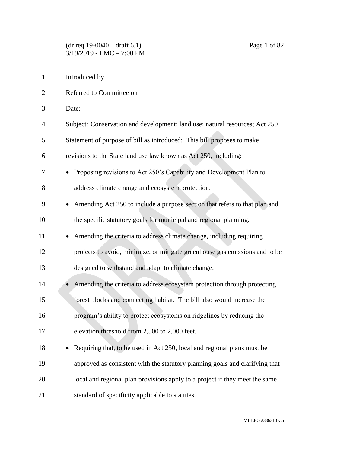- Introduced by
- Referred to Committee on
- Date:
- Subject: Conservation and development; land use; natural resources; Act 250
- Statement of purpose of bill as introduced: This bill proposes to make
- revisions to the State land use law known as Act 250, including:
- Proposing revisions to Act 250's Capability and Development Plan to address climate change and ecosystem protection.
- Amending Act 250 to include a purpose section that refers to that plan and the specific statutory goals for municipal and regional planning.
- 11 Amending the criteria to address climate change, including requiring projects to avoid, minimize, or mitigate greenhouse gas emissions and to be
- designed to withstand and adapt to climate change.
- 14 Amending the criteria to address ecosystem protection through protecting forest blocks and connecting habitat. The bill also would increase the program's ability to protect ecosystems on ridgelines by reducing the elevation threshold from 2,500 to 2,000 feet.
- 18 Requiring that, to be used in Act 250, local and regional plans must be approved as consistent with the statutory planning goals and clarifying that local and regional plan provisions apply to a project if they meet the same standard of specificity applicable to statutes.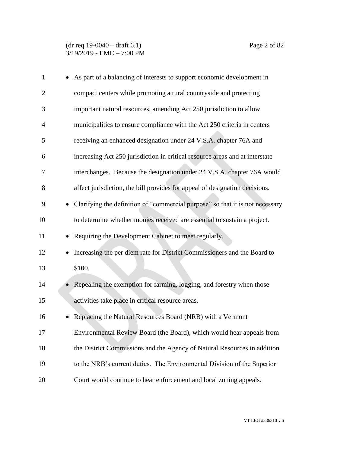| $\mathbf{1}$   | As part of a balancing of interests to support economic development in             |
|----------------|------------------------------------------------------------------------------------|
| $\overline{2}$ | compact centers while promoting a rural countryside and protecting                 |
| 3              | important natural resources, amending Act 250 jurisdiction to allow                |
| $\overline{4}$ | municipalities to ensure compliance with the Act 250 criteria in centers           |
| 5              | receiving an enhanced designation under 24 V.S.A. chapter 76A and                  |
| 6              | increasing Act 250 jurisdiction in critical resource areas and at interstate       |
| 7              | interchanges. Because the designation under 24 V.S.A. chapter 76A would            |
| 8              | affect jurisdiction, the bill provides for appeal of designation decisions.        |
| 9              | Clarifying the definition of "commercial purpose" so that it is not necessary      |
| 10             | to determine whether monies received are essential to sustain a project.           |
| 11             | Requiring the Development Cabinet to meet regularly.                               |
| 12             | Increasing the per diem rate for District Commissioners and the Board to           |
| 13             | \$100.                                                                             |
| 14             | Repealing the exemption for farming, logging, and forestry when those<br>$\bullet$ |
| 15             | activities take place in critical resource areas.                                  |
| 16             | Replacing the Natural Resources Board (NRB) with a Vermont                         |
| 17             | Environmental Review Board (the Board), which would hear appeals from              |
| 18             | the District Commissions and the Agency of Natural Resources in addition           |
| 19             | to the NRB's current duties. The Environmental Division of the Superior            |
| 20             | Court would continue to hear enforcement and local zoning appeals.                 |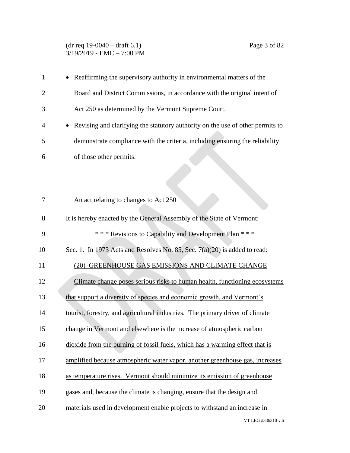## (dr req 19-0040 – draft 6.1) Page 3 of 82 3/19/2019 - EMC – 7:00 PM

| $\mathbf{1}$   | • Reaffirming the supervisory authority in environmental matters of the                     |
|----------------|---------------------------------------------------------------------------------------------|
| $\overline{2}$ | Board and District Commissions, in accordance with the original intent of                   |
| 3              | Act 250 as determined by the Vermont Supreme Court.                                         |
| 4              | Revising and clarifying the statutory authority on the use of other permits to<br>$\bullet$ |
| 5              | demonstrate compliance with the criteria, including ensuring the reliability                |
| 6              | of those other permits.                                                                     |
|                |                                                                                             |
|                |                                                                                             |
| 7              | An act relating to changes to Act 250                                                       |
| 8              | It is hereby enacted by the General Assembly of the State of Vermont:                       |
| 9              | *** Revisions to Capability and Development Plan ***                                        |
| 10             | Sec. 1. In 1973 Acts and Resolves No. 85, Sec. 7(a)(20) is added to read:                   |
| 11             | (20) GREENHOUSE GAS EMISSIONS AND CLIMATE CHANGE                                            |
| 12             | Climate change poses serious risks to human health, functioning ecosystems                  |
| 13             | that support a diversity of species and economic growth, and Vermont's                      |
| 14             | tourist, forestry, and agricultural industries. The primary driver of climate               |
| 15             | change in Vermont and elsewhere is the increase of atmospheric carbon                       |
| 16             | dioxide from the burning of fossil fuels, which has a warming effect that is                |
| 17             | amplified because atmospheric water vapor, another greenhouse gas, increases                |
| 18             | as temperature rises. Vermont should minimize its emission of greenhouse                    |
| 19             | gases and, because the climate is changing, ensure that the design and                      |
| 20             | materials used in development enable projects to withstand an increase in                   |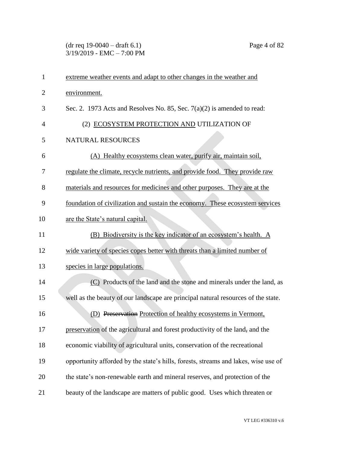(dr req 19-0040 – draft 6.1) Page 4 of 82  $3/19/2019$  - EMC - 7:00 PM

| $\mathbf{1}$   | extreme weather events and adapt to other changes in the weather and               |
|----------------|------------------------------------------------------------------------------------|
| $\overline{2}$ | environment.                                                                       |
| 3              | Sec. 2. 1973 Acts and Resolves No. 85, Sec. $7(a)(2)$ is amended to read:          |
| 4              | (2) ECOSYSTEM PROTECTION AND UTILIZATION OF                                        |
| 5              | <b>NATURAL RESOURCES</b>                                                           |
| 6              | (A) Healthy ecosystems clean water, purify air, maintain soil,                     |
| 7              | regulate the climate, recycle nutrients, and provide food. They provide raw        |
| 8              | materials and resources for medicines and other purposes. They are at the          |
| 9              | foundation of civilization and sustain the economy. These ecosystem services       |
| 10             | are the State's natural capital.                                                   |
| 11             | (B) Biodiversity is the key indicator of an ecosystem's health. A                  |
| 12             | wide variety of species copes better with threats than a limited number of         |
| 13             | species in large populations.                                                      |
| 14             | (C) Products of the land and the stone and minerals under the land, as             |
| 15             | well as the beauty of our landscape are principal natural resources of the state.  |
| 16             | (D) Preservation Protection of healthy ecosystems in Vermont,                      |
| 17             | preservation of the agricultural and forest productivity of the land, and the      |
| 18             | economic viability of agricultural units, conservation of the recreational         |
| 19             | opportunity afforded by the state's hills, forests, streams and lakes, wise use of |
| 20             | the state's non-renewable earth and mineral reserves, and protection of the        |
| 21             | beauty of the landscape are matters of public good. Uses which threaten or         |

VT LEG #336310 v.6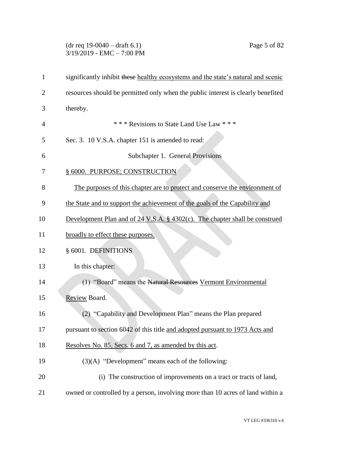## (dr req 19-0040 – draft 6.1) Page 5 of 82 3/19/2019 - EMC – 7:00 PM

| 1              | significantly inhibit these healthy ecosystems and the state's natural and scenic         |
|----------------|-------------------------------------------------------------------------------------------|
| $\overline{2}$ | resources should be permitted only when the public interest is clearly benefited          |
| 3              | thereby.                                                                                  |
| $\overline{4}$ | *** Revisions to State Land Use Law ***                                                   |
| 5              | Sec. 3. 10 V.S.A. chapter 151 is amended to read:                                         |
| 6              | Subchapter 1. General Provisions                                                          |
| 7              | § 6000. PURPOSE; CONSTRUCTION                                                             |
| 8              | The purposes of this chapter are to protect and conserve the environment of               |
| 9              | the State and to support the achievement of the goals of the Capability and               |
| 10             | Development Plan and of $24 \text{ V.S.A. }$ § $4302(c)$ . The chapter shall be construed |
| 11             | broadly to effect these purposes.                                                         |
| 12             | § 6001. DEFINITIONS                                                                       |
| 13             | In this chapter:                                                                          |
| 14             | (1) "Board" means the Natural Resources Vermont Environmental                             |
| 15             | Review Board.                                                                             |
| 16             | (2) "Capability and Development Plan" means the Plan prepared                             |
| 17             | pursuant to section 6042 of this title and adopted pursuant to 1973 Acts and              |
| 18             | Resolves No. 85, Secs. 6 and 7, as amended by this act.                                   |
| 19             | $(3)(A)$ "Development" means each of the following:                                       |
| 20             | (i) The construction of improvements on a tract or tracts of land,                        |
| 21             | owned or controlled by a person, involving more than 10 acres of land within a            |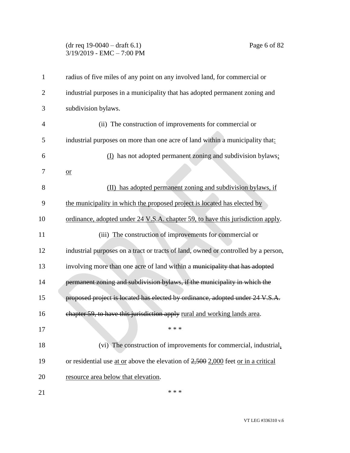#### (dr req 19-0040 – draft 6.1) Page 6 of 82 3/19/2019 - EMC – 7:00 PM

| $\mathbf{1}$   | radius of five miles of any point on any involved land, for commercial or           |
|----------------|-------------------------------------------------------------------------------------|
| $\overline{2}$ | industrial purposes in a municipality that has adopted permanent zoning and         |
| 3              | subdivision bylaws.                                                                 |
| $\overline{4}$ | (ii) The construction of improvements for commercial or                             |
| 5              | industrial purposes on more than one acre of land within a municipality that:       |
| 6              | (I) has not adopted permanent zoning and subdivision bylaws;                        |
| 7              | $or$                                                                                |
| 8              | (II) has adopted permanent zoning and subdivision bylaws, if                        |
| 9              | the municipality in which the proposed project is located has elected by            |
| 10             | ordinance, adopted under 24 V.S.A. chapter 59, to have this jurisdiction apply.     |
| 11             | (iii) The construction of improvements for commercial or                            |
| 12             | industrial purposes on a tract or tracts of land, owned or controlled by a person,  |
| 13             | involving more than one acre of land within a municipality that has adopted         |
| 14             | permanent zoning and subdivision bylaws, if the municipality in which the           |
| 15             | proposed project is located has elected by ordinance, adopted under 24 V.S.A.       |
| 16             | chapter 59, to have this jurisdiction apply rural and working lands area.           |
| 17             | * * *                                                                               |
| 18             | (vi) The construction of improvements for commercial, industrial,                   |
| 19             | or residential use at or above the elevation of $2,500$ 2,000 feet or in a critical |
| 20             | resource area below that elevation.                                                 |
| 21             | * * *                                                                               |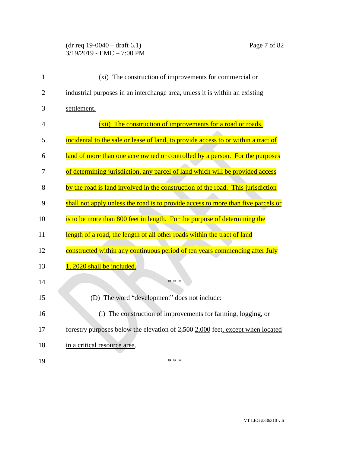## (dr req 19-0040 – draft 6.1) Page 7 of 82 3/19/2019 - EMC – 7:00 PM

| $\mathbf{1}$ | (xi) The construction of improvements for commercial or                            |
|--------------|------------------------------------------------------------------------------------|
| 2            | industrial purposes in an interchange area, unless it is within an existing        |
| 3            | settlement.                                                                        |
| 4            | (xii) The construction of improvements for a road or roads,                        |
| 5            | incidental to the sale or lease of land, to provide access to or within a tract of |
| 6            | land of more than one acre owned or controlled by a person. For the purposes       |
| 7            | of determining jurisdiction, any parcel of land which will be provided access      |
| 8            | by the road is land involved in the construction of the road. This jurisdiction    |
| 9            | shall not apply unless the road is to provide access to more than five parcels or  |
| 10           | is to be more than 800 feet in length. For the purpose of determining the          |
| 11           | length of a road, the length of all other roads within the tract of land           |
| 12           | constructed within any continuous period of ten years commencing after July        |
| 13           | 1, 2020 shall be included.                                                         |
| 14           | * * *                                                                              |
| 15           | (D) The word "development" does not include:                                       |
| 16           | (i) The construction of improvements for farming, logging, or                      |
| 17           | forestry purposes below the elevation of 2,500 2,000 feet, except when located     |
| 18           | in a critical resource area.                                                       |
| 19           | * * *                                                                              |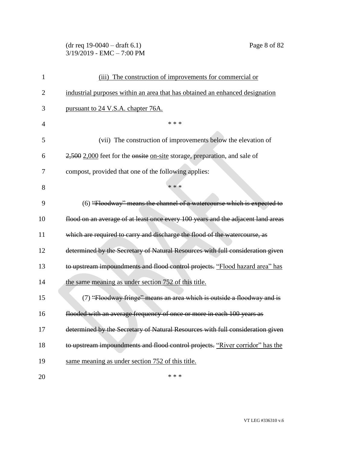## (dr req 19-0040 – draft 6.1) Page 8 of 82 3/19/2019 - EMC – 7:00 PM

| $\mathbf{1}$   | (iii) The construction of improvements for commercial or                         |
|----------------|----------------------------------------------------------------------------------|
| $\overline{2}$ | industrial purposes within an area that has obtained an enhanced designation     |
| 3              | pursuant to 24 V.S.A. chapter 76A.                                               |
| $\overline{4}$ | * * *                                                                            |
| 5              | (vii) The construction of improvements below the elevation of                    |
| 6              | 2,500 2,000 feet for the onsite on-site storage, preparation, and sale of        |
| 7              | compost, provided that one of the following applies:                             |
| 8              | * * *                                                                            |
| 9              | (6) "Floodway" means the channel of a watercourse which is expected to           |
| 10             | flood on an average of at least once every 100 years and the adjacent land areas |
| 11             | which are required to carry and discharge the flood of the watercourse, as       |
| 12             | determined by the Secretary of Natural Resources with full consideration given   |
| 13             | to upstream impoundments and flood control projects. "Flood hazard area" has     |
| 14             | the same meaning as under section 752 of this title.                             |
| 15             | (7) "Floodway fringe" means an area which is outside a floodway and is           |
| 16             | flooded with an average frequency of once or more in each 100 years as           |
| 17             | determined by the Secretary of Natural Resources with full consideration given   |
| 18             | to upstream impoundments and flood control projects. "River corridor" has the    |
| 19             | same meaning as under section 752 of this title.                                 |
| 20             | * * *                                                                            |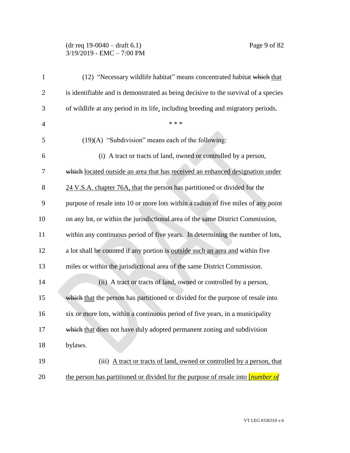## (dr req 19-0040 – draft 6.1) Page 9 of 82 3/19/2019 - EMC – 7:00 PM

| $\mathbf{1}$   | (12) "Necessary wildlife habitat" means concentrated habitat which that                  |
|----------------|------------------------------------------------------------------------------------------|
| $\overline{2}$ | is identifiable and is demonstrated as being decisive to the survival of a species       |
| 3              | of wildlife at any period in its life, including breeding and migratory periods.         |
| $\overline{4}$ | * * *                                                                                    |
| 5              | $(19)(A)$ "Subdivision" means each of the following:                                     |
| 6              | (i) A tract or tracts of land, owned or controlled by a person,                          |
| 7              | which located outside an area that has received an enhanced designation under            |
| 8              | 24 V.S.A. chapter 76A, that the person has partitioned or divided for the                |
| 9              | purpose of resale into 10 or more lots within a radius of five miles of any point        |
| 10             | on any lot, or within the jurisdictional area of the same District Commission,           |
| 11             | within any continuous period of five years. In determining the number of lots,           |
| 12             | a lot shall be counted if any portion is outside such an area and within five            |
| 13             | miles or within the jurisdictional area of the same District Commission.                 |
| 14             | (ii) A tract or tracts of land, owned or controlled by a person,                         |
| 15             | which that the person has partitioned or divided for the purpose of resale into          |
| 16             | six or more lots, within a continuous period of five years, in a municipality            |
| 17             | which that does not have duly adopted permanent zoning and subdivision                   |
| 18             | bylaws.                                                                                  |
| 19             | (iii) A tract or tracts of land, owned or controlled by a person, that                   |
| 20             | the person has partitioned or divided for the purpose of resale into <i>[number of</i> ] |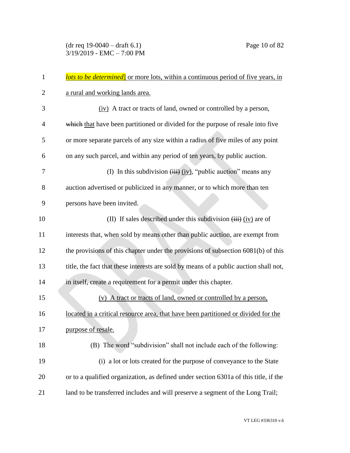| $\mathbf{1}$   | lots to be determined or more lots, within a continuous period of five years, in      |
|----------------|---------------------------------------------------------------------------------------|
| $\overline{2}$ | a rural and working lands area.                                                       |
| 3              | (iv) A tract or tracts of land, owned or controlled by a person,                      |
| 4              | which that have been partitioned or divided for the purpose of resale into five       |
| 5              | or more separate parcels of any size within a radius of five miles of any point       |
| 6              | on any such parcel, and within any period of ten years, by public auction.            |
| 7              | (I) In this subdivision $(iii)$ (iv), "public auction" means any                      |
| 8              | auction advertised or publicized in any manner, or to which more than ten             |
| 9              | persons have been invited.                                                            |
| 10             | (II) If sales described under this subdivision $(iii)$ (iv) are of                    |
| 11             | interests that, when sold by means other than public auction, are exempt from         |
| 12             | the provisions of this chapter under the provisions of subsection 6081(b) of this     |
| 13             | title, the fact that these interests are sold by means of a public auction shall not, |
| 14             | in itself, create a requirement for a permit under this chapter.                      |
| 15             | (v) A tract or tracts of land, owned or controlled by a person,                       |
| 16             | located in a critical resource area, that have been partitioned or divided for the    |
| 17             | purpose of resale.                                                                    |
| 18             | (B) The word "subdivision" shall not include each of the following:                   |
| 19             | (i) a lot or lots created for the purpose of conveyance to the State                  |
| 20             | or to a qualified organization, as defined under section 6301a of this title, if the  |
| 21             | land to be transferred includes and will preserve a segment of the Long Trail;        |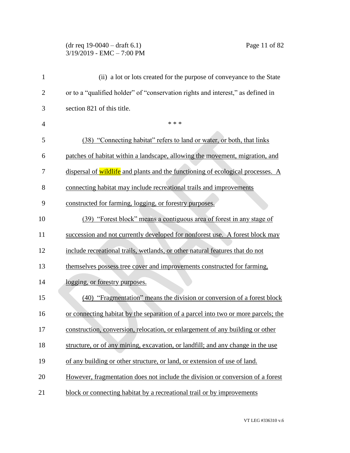### (dr req 19-0040 – draft 6.1) Page 11 of 82 3/19/2019 - EMC – 7:00 PM

| $\mathbf{1}$   | (ii) a lot or lots created for the purpose of conveyance to the State             |
|----------------|-----------------------------------------------------------------------------------|
| $\overline{2}$ | or to a "qualified holder" of "conservation rights and interest," as defined in   |
| 3              | section 821 of this title.                                                        |
| $\overline{4}$ | * * *                                                                             |
| 5              | (38) "Connecting habitat" refers to land or water, or both, that links            |
| 6              | patches of habitat within a landscape, allowing the movement, migration, and      |
| 7              | dispersal of wildlife and plants and the functioning of ecological processes. A   |
| 8              | connecting habitat may include recreational trails and improvements               |
| 9              | constructed for farming, logging, or forestry purposes.                           |
| 10             | (39) "Forest block" means a contiguous area of forest in any stage of             |
| 11             | succession and not currently developed for nonforest use. A forest block may      |
| 12             | include recreational trails, wetlands, or other natural features that do not      |
| 13             | themselves possess tree cover and improvements constructed for farming,           |
| 14             | logging, or forestry purposes.                                                    |
| 15             | (40) "Fragmentation" means the division or conversion of a forest block           |
| 16             | or connecting habitat by the separation of a parcel into two or more parcels; the |
| 17             | construction, conversion, relocation, or enlargement of any building or other     |
| 18             | structure, or of any mining, excavation, or landfill; and any change in the use   |
| 19             | of any building or other structure, or land, or extension of use of land.         |
| 20             | However, fragmentation does not include the division or conversion of a forest    |
| 21             | block or connecting habitat by a recreational trail or by improvements            |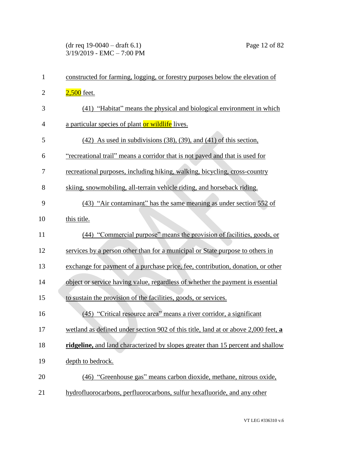| $\mathbf{1}$   | constructed for farming, logging, or forestry purposes below the elevation of      |
|----------------|------------------------------------------------------------------------------------|
| $\overline{2}$ | $2,500$ feet.                                                                      |
| 3              | (41) "Habitat" means the physical and biological environment in which              |
| 4              | a particular species of plant or wildlife lives.                                   |
| 5              | $(42)$ As used in subdivisions $(38)$ , $(39)$ , and $(41)$ of this section,       |
| 6              | "recreational trail" means a corridor that is not paved and that is used for       |
| 7              | recreational purposes, including hiking, walking, bicycling, cross-country         |
| 8              | skiing, snowmobiling, all-terrain vehicle riding, and horseback riding.            |
| 9              | (43) "Air contaminant" has the same meaning as under section 552 of                |
| 10             | this title.                                                                        |
| 11             | (44) "Commercial purpose" means the provision of facilities, goods, or             |
| 12             | services by a person other than for a municipal or State purpose to others in      |
| 13             | exchange for payment of a purchase price, fee, contribution, donation, or other    |
| 14             | object or service having value, regardless of whether the payment is essential     |
| 15             | to sustain the provision of the facilities, goods, or services.                    |
| 16             | (45) "Critical resource area" means a river corridor, a significant                |
| 17             | wetland as defined under section 902 of this title, land at or above 2,000 feet, a |
| 18             | ridgeline, and land characterized by slopes greater than 15 percent and shallow    |
| 19             | depth to bedrock.                                                                  |
| 20             | (46) "Greenhouse gas" means carbon dioxide, methane, nitrous oxide,                |
| 21             | hydrofluorocarbons, perfluorocarbons, sulfur hexafluoride, and any other           |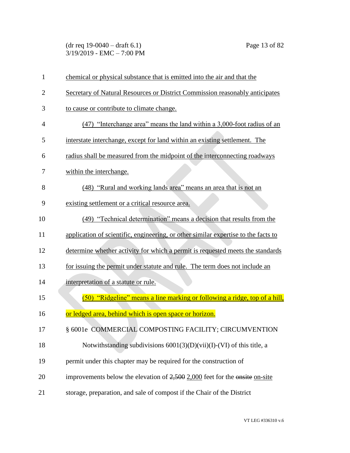(dr req 19-0040 – draft 6.1) Page 13 of 82 3/19/2019 - EMC – 7:00 PM

| $\mathbf{1}$   | chemical or physical substance that is emitted into the air and that the           |
|----------------|------------------------------------------------------------------------------------|
| $\overline{2}$ | Secretary of Natural Resources or District Commission reasonably anticipates       |
| 3              | to cause or contribute to climate change.                                          |
| $\overline{4}$ | (47) "Interchange area" means the land within a 3,000-foot radius of an            |
| 5              | interstate interchange, except for land within an existing settlement. The         |
| 6              | radius shall be measured from the midpoint of the interconnecting roadways         |
| 7              | within the interchange.                                                            |
| 8              | (48) "Rural and working lands area" means an area that is not an                   |
| 9              | existing settlement or a critical resource area.                                   |
| 10             | (49) "Technical determination" means a decision that results from the              |
| 11             | application of scientific, engineering, or other similar expertise to the facts to |
| 12             | determine whether activity for which a permit is requested meets the standards     |
| 13             | for issuing the permit under statute and rule. The term does not include an        |
| 14             | interpretation of a statute or rule.                                               |
| 15             | (50) "Ridgeline" means a line marking or following a ridge, top of a hill,         |
| 16             | or ledged area, behind which is open space or horizon.                             |
| 17             | § 6001e COMMERCIAL COMPOSTING FACILITY; CIRCUMVENTION                              |
| 18             | Notwithstanding subdivisions $6001(3)(D)(\n$ i)(I)-(VI) of this title, a           |
| 19             | permit under this chapter may be required for the construction of                  |
| 20             | improvements below the elevation of $2,500$ 2,000 feet for the onsite on-site      |
| 21             | storage, preparation, and sale of compost if the Chair of the District             |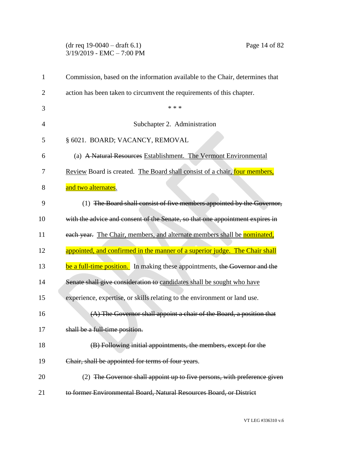### (dr req 19-0040 – draft 6.1) Page 14 of 82 3/19/2019 - EMC – 7:00 PM

| $\mathbf{1}$   | Commission, based on the information available to the Chair, determines that  |
|----------------|-------------------------------------------------------------------------------|
| $\overline{2}$ | action has been taken to circumvent the requirements of this chapter.         |
| 3              | * * *                                                                         |
| 4              | Subchapter 2. Administration                                                  |
| 5              | § 6021. BOARD; VACANCY, REMOVAL                                               |
| 6              | (a) A Natural Resources Establishment. The Vermont Environmental              |
| 7              | Review Board is created. The Board shall consist of a chair, four members,    |
| 8              | and two alternates.                                                           |
| 9              | (1) The Board shall consist of five members appointed by the Governor,        |
| 10             | with the advice and consent of the Senate, so that one appointment expires in |
| 11             | each year. The Chair, members, and alternate members shall be nominated,      |
| 12             | appointed, and confirmed in the manner of a superior judge. The Chair shall   |
| 13             | be a full-time position. In making these appointments, the Governor and the   |
| 14             | Senate shall give consideration to candidates shall be sought who have        |
| 15             | experience, expertise, or skills relating to the environment or land use.     |
| 16             | (A) The Governor shall appoint a chair of the Board, a position that          |
| 17             | shall be a full-time position.                                                |
| 18             | (B) Following initial appointments, the members, except for the               |
| 19             | Chair, shall be appointed for terms of four years.                            |
| 20             | (2) The Governor shall appoint up to five persons, with preference given      |
| 21             | to former Environmental Board, Natural Resources Board, or District           |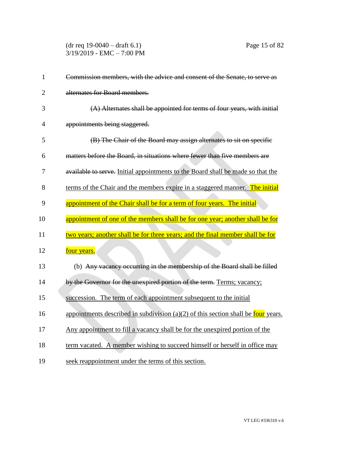(dr req 19-0040 – draft 6.1) Page 15 of 82 3/19/2019 - EMC – 7:00 PM

| $\mathbf{1}$   | Commission members, with the advice and consent of the Senate, to serve as        |
|----------------|-----------------------------------------------------------------------------------|
| $\overline{2}$ | alternates for Board members.                                                     |
| 3              | (A) Alternates shall be appointed for terms of four years, with initial           |
| $\overline{4}$ | appointments being staggered.                                                     |
| 5              | (B) The Chair of the Board may assign alternates to sit on specific               |
| 6              | matters before the Board, in situations where fewer than five members are         |
| 7              | available to serve. Initial appointments to the Board shall be made so that the   |
| 8              | terms of the Chair and the members expire in a staggered manner. The initial      |
| 9              | appointment of the Chair shall be for a term of four years. The initial           |
| 10             | appointment of one of the members shall be for one year; another shall be for     |
| 11             | two years; another shall be for three years; and the final member shall be for    |
| 12             | four years.                                                                       |
|                |                                                                                   |
| 13             | (b) Any vacancy occurring in the membership of the Board shall be filled          |
| 14             | by the Governor for the unexpired portion of the term. Terms; vacancy;            |
| 15             | succession. The term of each appointment subsequent to the initial                |
| 16             | appointments described in subdivision (a)(2) of this section shall be four years. |
| 17             | Any appointment to fill a vacancy shall be for the unexpired portion of the       |
| 18             | term vacated. A member wishing to succeed himself or herself in office may        |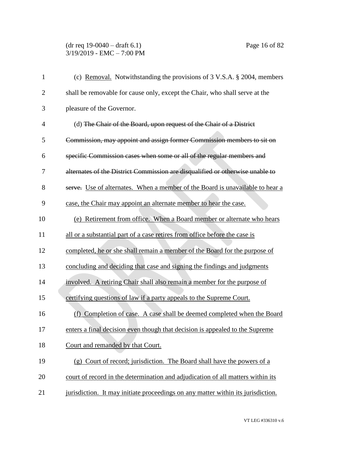#### (dr req 19-0040 – draft 6.1) Page 16 of 82 3/19/2019 - EMC – 7:00 PM

| $\mathbf{1}$   | (c) Removal. Notwithstanding the provisions of $3$ V.S.A. $\S$ 2004, members     |
|----------------|----------------------------------------------------------------------------------|
| $\overline{2}$ | shall be removable for cause only, except the Chair, who shall serve at the      |
| 3              | pleasure of the Governor.                                                        |
| $\overline{4}$ | (d) The Chair of the Board, upon request of the Chair of a District              |
| 5              | Commission, may appoint and assign former Commission members to sit on           |
| 6              | specific Commission cases when some or all of the regular members and            |
| 7              | alternates of the District Commission are disqualified or otherwise unable to    |
| 8              | serve. Use of alternates. When a member of the Board is unavailable to hear a    |
| 9              | case, the Chair may appoint an alternate member to hear the case.                |
| 10             | (e) Retirement from office. When a Board member or alternate who hears           |
| 11             | all or a substantial part of a case retires from office before the case is       |
| 12             | completed, he or she shall remain a member of the Board for the purpose of       |
| 13             | concluding and deciding that case and signing the findings and judgments         |
| 14             | involved. A retiring Chair shall also remain a member for the purpose of         |
| 15             | certifying questions of law if a party appeals to the Supreme Court.             |
| 16             | Completion of case. A case shall be deemed completed when the Board<br>(f)       |
| 17             | enters a final decision even though that decision is appealed to the Supreme     |
| 18             | Court and remanded by that Court.                                                |
| 19             | (g) Court of record; jurisdiction. The Board shall have the powers of a          |
| 20             | court of record in the determination and adjudication of all matters within its  |
| 21             | jurisdiction. It may initiate proceedings on any matter within its jurisdiction. |
|                |                                                                                  |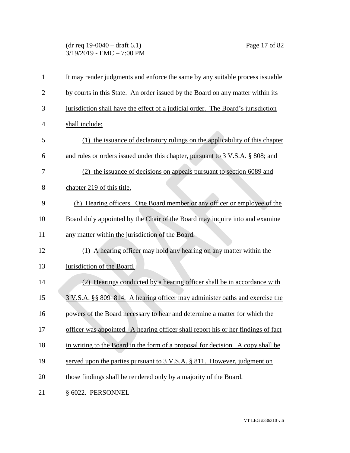## (dr req 19-0040 – draft 6.1) Page 17 of 82 3/19/2019 - EMC – 7:00 PM

| $\mathbf{1}$   | It may render judgments and enforce the same by any suitable process issuable          |
|----------------|----------------------------------------------------------------------------------------|
| $\overline{2}$ | by courts in this State. An order issued by the Board on any matter within its         |
| 3              | jurisdiction shall have the effect of a judicial order. The Board's jurisdiction       |
| 4              | shall include:                                                                         |
| 5              | (1) the issuance of declaratory rulings on the applicability of this chapter           |
| 6              | and rules or orders issued under this chapter, pursuant to 3 V.S.A. § 808; and         |
| 7              | (2) the issuance of decisions on appeals pursuant to section 6089 and                  |
| 8              | chapter 219 of this title.                                                             |
| 9              | (h) Hearing officers. One Board member or any officer or employee of the               |
| 10             | Board duly appointed by the Chair of the Board may inquire into and examine            |
| 11             | any matter within the jurisdiction of the Board.                                       |
| 12             | (1) A hearing officer may hold any hearing on any matter within the                    |
| 13             | jurisdiction of the Board.                                                             |
| 14             | (2) Hearings conducted by a hearing officer shall be in accordance with                |
| 15             | 3 V.S.A. §§ 809–814. A hearing officer may administer oaths and exercise the           |
| 16             | powers of the Board necessary to hear and determine a matter for which the             |
| 17             | officer was appointed. A hearing officer shall report his or her findings of fact      |
| 18             | in writing to the Board in the form of a proposal for decision. A copy shall be        |
| 19             | served upon the parties pursuant to $3 \text{ V.S.A.}$ $\S 811$ . However, judgment on |
| 20             | those findings shall be rendered only by a majority of the Board.                      |
| 21             | § 6022. PERSONNEL                                                                      |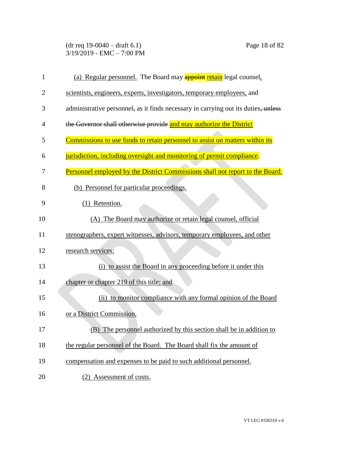## (dr req 19-0040 – draft 6.1) Page 18 of 82 3/19/2019 - EMC – 7:00 PM

| $\mathbf{1}$ | (a) Regular personnel. The Board may <b>appoint retain</b> legal counsel,          |
|--------------|------------------------------------------------------------------------------------|
| 2            | scientists, engineers, experts, investigators, temporary employees, and            |
| 3            | administrative personnel, as it finds necessary in carrying out its duties, unless |
| 4            | the Governor shall otherwise provide and may authorize the District                |
| 5            | Commissions to use funds to retain personnel to assist on matters within its       |
| 6            | jurisdiction, including oversight and monitoring of permit compliance.             |
| 7            | Personnel employed by the District Commissions shall not report to the Board.      |
| 8            | (b) Personnel for particular proceedings.                                          |
| 9            | (1) Retention.                                                                     |
| 10           | (A) The Board may authorize or retain legal counsel, official                      |
| 11           | stenographers, expert witnesses, advisors, temporary employees, and other          |
| 12           | research services:                                                                 |
| 13           | (i) to assist the Board in any proceeding before it under this                     |
| 14           | chapter or chapter 219 of this title; and                                          |
| 15           | (ii) to monitor compliance with any formal opinion of the Board                    |
| 16           | or a District Commission.                                                          |
| 17           | (B) The personnel authorized by this section shall be in addition to               |
| 18           | the regular personnel of the Board. The Board shall fix the amount of              |
| 19           | compensation and expenses to be paid to such additional personnel.                 |
| 20           | (2) Assessment of costs.                                                           |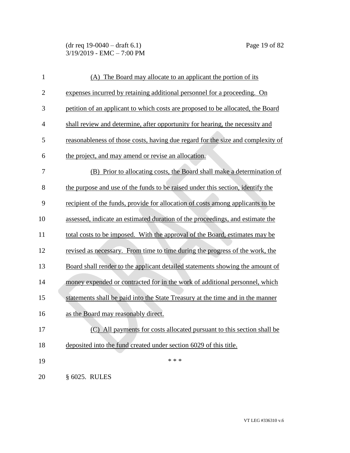(dr req 19-0040 – draft 6.1) Page 19 of 82 3/19/2019 - EMC – 7:00 PM

| $\mathbf{1}$   | The Board may allocate to an applicant the portion of its<br>(A)                |
|----------------|---------------------------------------------------------------------------------|
| $\overline{2}$ | expenses incurred by retaining additional personnel for a proceeding. On        |
| 3              | petition of an applicant to which costs are proposed to be allocated, the Board |
| 4              | shall review and determine, after opportunity for hearing, the necessity and    |
| 5              | reasonableness of those costs, having due regard for the size and complexity of |
| 6              | the project, and may amend or revise an allocation.                             |
| 7              | (B) Prior to allocating costs, the Board shall make a determination of          |
| 8              | the purpose and use of the funds to be raised under this section, identify the  |
| 9              | recipient of the funds, provide for allocation of costs among applicants to be  |
| 10             | assessed, indicate an estimated duration of the proceedings, and estimate the   |
| 11             | total costs to be imposed. With the approval of the Board, estimates may be     |
| 12             | revised as necessary. From time to time during the progress of the work, the    |
| 13             | Board shall render to the applicant detailed statements showing the amount of   |
| 14             | money expended or contracted for in the work of additional personnel, which     |
| 15             | statements shall be paid into the State Treasury at the time and in the manner  |
| 16             | as the Board may reasonably direct.                                             |
| 17             | (C) All payments for costs allocated pursuant to this section shall be          |
| 18             | deposited into the fund created under section 6029 of this title.               |
| 19             | * * *                                                                           |
| 20             | § 6025. RULES                                                                   |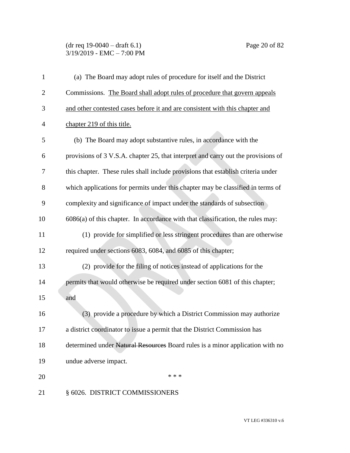## (dr req 19-0040 – draft 6.1) Page 20 of 82 3/19/2019 - EMC – 7:00 PM

| $\mathbf{1}$   | (a) The Board may adopt rules of procedure for itself and the District            |
|----------------|-----------------------------------------------------------------------------------|
| $\overline{2}$ | Commissions. The Board shall adopt rules of procedure that govern appeals         |
| 3              | and other contested cases before it and are consistent with this chapter and      |
| $\overline{4}$ | chapter 219 of this title.                                                        |
| 5              | (b) The Board may adopt substantive rules, in accordance with the                 |
| 6              | provisions of 3 V.S.A. chapter 25, that interpret and carry out the provisions of |
| 7              | this chapter. These rules shall include provisions that establish criteria under  |
| 8              | which applications for permits under this chapter may be classified in terms of   |
| 9              | complexity and significance of impact under the standards of subsection           |
| 10             | $6086(a)$ of this chapter. In accordance with that classification, the rules may: |
| 11             | (1) provide for simplified or less stringent procedures than are otherwise        |
| 12             | required under sections 6083, 6084, and 6085 of this chapter;                     |
| 13             | (2) provide for the filing of notices instead of applications for the             |
| 14             | permits that would otherwise be required under section 6081 of this chapter;      |
| 15             | and                                                                               |
| 16             | (3) provide a procedure by which a District Commission may authorize              |
| 17             | a district coordinator to issue a permit that the District Commission has         |
| 18             | determined under Natural Resources Board rules is a minor application with no     |
| 19             | undue adverse impact.                                                             |
| 20             | * * *                                                                             |
| 21             | § 6026. DISTRICT COMMISSIONERS                                                    |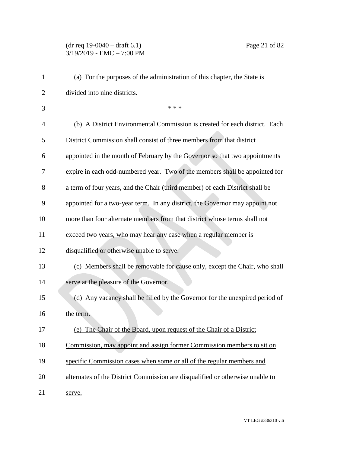## (dr req 19-0040 – draft 6.1) Page 21 of 82 3/19/2019 - EMC – 7:00 PM

| $\mathbf{1}$   | (a) For the purposes of the administration of this chapter, the State is      |
|----------------|-------------------------------------------------------------------------------|
| $\overline{2}$ | divided into nine districts.                                                  |
| 3              | * * *                                                                         |
| $\overline{4}$ | (b) A District Environmental Commission is created for each district. Each    |
| 5              | District Commission shall consist of three members from that district         |
| 6              | appointed in the month of February by the Governor so that two appointments   |
| 7              | expire in each odd-numbered year. Two of the members shall be appointed for   |
| 8              | a term of four years, and the Chair (third member) of each District shall be  |
| 9              | appointed for a two-year term. In any district, the Governor may appoint not  |
| 10             | more than four alternate members from that district whose terms shall not     |
| 11             | exceed two years, who may hear any case when a regular member is              |
| 12             | disqualified or otherwise unable to serve.                                    |
| 13             | (c) Members shall be removable for cause only, except the Chair, who shall    |
| 14             | serve at the pleasure of the Governor.                                        |
| 15             | (d) Any vacancy shall be filled by the Governor for the unexpired period of   |
| 16             | the term.                                                                     |
| 17             | (e) The Chair of the Board, upon request of the Chair of a District           |
| 18             | Commission, may appoint and assign former Commission members to sit on        |
| 19             | specific Commission cases when some or all of the regular members and         |
| 20             | alternates of the District Commission are disqualified or otherwise unable to |
| 21             | serve.                                                                        |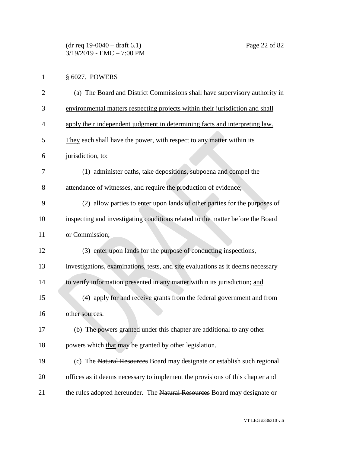| 1              | § 6027. POWERS                                                                  |
|----------------|---------------------------------------------------------------------------------|
| $\overline{2}$ | (a) The Board and District Commissions shall have supervisory authority in      |
| 3              | environmental matters respecting projects within their jurisdiction and shall   |
| $\overline{4}$ | apply their independent judgment in determining facts and interpreting law.     |
| 5              | They each shall have the power, with respect to any matter within its           |
| 6              | jurisdiction, to:                                                               |
| 7              | (1) administer oaths, take depositions, subpoena and compel the                 |
| 8              | attendance of witnesses, and require the production of evidence;                |
| 9              | (2) allow parties to enter upon lands of other parties for the purposes of      |
| 10             | inspecting and investigating conditions related to the matter before the Board  |
| 11             | or Commission;                                                                  |
| 12             | (3) enter upon lands for the purpose of conducting inspections,                 |
| 13             | investigations, examinations, tests, and site evaluations as it deems necessary |
| 14             | to verify information presented in any matter within its jurisdiction; and      |
| 15             | (4) apply for and receive grants from the federal government and from           |
| 16             | other sources.                                                                  |
| 17             | (b) The powers granted under this chapter are additional to any other           |
| 18             | powers which that may be granted by other legislation.                          |
| 19             | (c) The Natural Resources Board may designate or establish such regional        |
| 20             | offices as it deems necessary to implement the provisions of this chapter and   |
| 21             | the rules adopted hereunder. The Natural Resources Board may designate or       |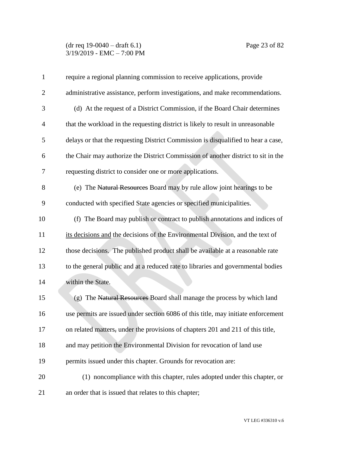#### (dr req 19-0040 – draft 6.1) Page 23 of 82 3/19/2019 - EMC – 7:00 PM

| 1              | require a regional planning commission to receive applications, provide           |
|----------------|-----------------------------------------------------------------------------------|
| $\overline{2}$ | administrative assistance, perform investigations, and make recommendations.      |
| 3              | (d) At the request of a District Commission, if the Board Chair determines        |
| $\overline{4}$ | that the workload in the requesting district is likely to result in unreasonable  |
| 5              | delays or that the requesting District Commission is disqualified to hear a case, |
| 6              | the Chair may authorize the District Commission of another district to sit in the |
| 7              | requesting district to consider one or more applications.                         |
| 8              | (e) The Natural Resources Board may by rule allow joint hearings to be            |
| 9              | conducted with specified State agencies or specified municipalities.              |
| 10             | (f) The Board may publish or contract to publish annotations and indices of       |
| 11             | its decisions and the decisions of the Environmental Division, and the text of    |
| 12             | those decisions. The published product shall be available at a reasonable rate    |
| 13             | to the general public and at a reduced rate to libraries and governmental bodies  |
| 14             | within the State.                                                                 |
| 15             | (g) The Natural Resources Board shall manage the process by which land            |
| 16             | use permits are issued under section 6086 of this title, may initiate enforcement |
| 17             | on related matters, under the provisions of chapters 201 and 211 of this title,   |
| 18             | and may petition the Environmental Division for revocation of land use            |
| 19             | permits issued under this chapter. Grounds for revocation are:                    |
| 20             | (1) noncompliance with this chapter, rules adopted under this chapter, or         |
| 21             | an order that is issued that relates to this chapter;                             |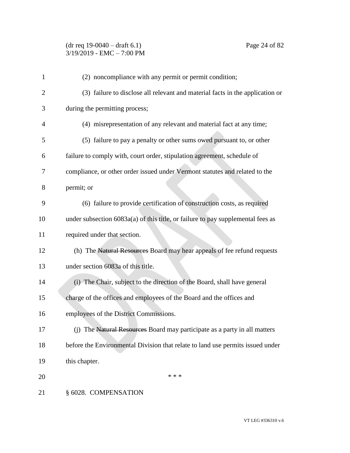# (dr req 19-0040 – draft 6.1) Page 24 of 82 3/19/2019 - EMC – 7:00 PM

| $\mathbf{1}$   | (2) noncompliance with any permit or permit condition;                          |
|----------------|---------------------------------------------------------------------------------|
| $\overline{2}$ | (3) failure to disclose all relevant and material facts in the application or   |
| 3              | during the permitting process;                                                  |
| $\overline{4}$ | (4) misrepresentation of any relevant and material fact at any time;            |
| 5              | (5) failure to pay a penalty or other sums owed pursuant to, or other           |
| 6              | failure to comply with, court order, stipulation agreement, schedule of         |
| 7              | compliance, or other order issued under Vermont statutes and related to the     |
| 8              | permit; or                                                                      |
| 9              | (6) failure to provide certification of construction costs, as required         |
| 10             | under subsection 6083a(a) of this title, or failure to pay supplemental fees as |
| 11             | required under that section.                                                    |
| 12             | (h) The Natural Resources Board may hear appeals of fee refund requests         |
| 13             | under section 6083a of this title.                                              |
| 14             | (i) The Chair, subject to the direction of the Board, shall have general        |
| 15             | charge of the offices and employees of the Board and the offices and            |
| 16             | employees of the District Commissions.                                          |
| 17             | (j) The Natural Resources Board may participate as a party in all matters       |
| 18             | before the Environmental Division that relate to land use permits issued under  |
| 19             | this chapter.                                                                   |
| 20             | * * *                                                                           |
| 21             | § 6028. COMPENSATION                                                            |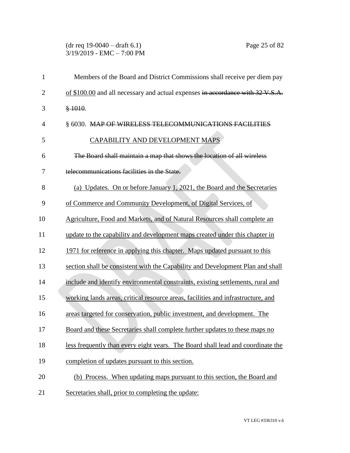### (dr req 19-0040 – draft 6.1) Page 25 of 82 3/19/2019 - EMC – 7:00 PM

| 1              | Members of the Board and District Commissions shall receive per diem pay         |
|----------------|----------------------------------------------------------------------------------|
| $\overline{2}$ | of \$100.00 and all necessary and actual expenses in accordance with 32 V.S.A.   |
| 3              | \$1010.                                                                          |
| $\overline{4}$ | § 6030. MAP OF WIRELESS TELECOMMUNICATIONS FACILITIES                            |
| 5              | CAPABILITY AND DEVELOPMENT MAPS                                                  |
| 6              | The Board shall maintain a map that shows the location of all wireless           |
| 7              | telecommunications facilities in the State.                                      |
| 8              | (a) Updates. On or before January 1, 2021, the Board and the Secretaries         |
| 9              | of Commerce and Community Development, of Digital Services, of                   |
| 10             | Agriculture, Food and Markets, and of Natural Resources shall complete an        |
| 11             | update to the capability and development maps created under this chapter in      |
| 12             | 1971 for reference in applying this chapter. Maps updated pursuant to this       |
| 13             | section shall be consistent with the Capability and Development Plan and shall   |
| 14             | include and identify environmental constraints, existing settlements, rural and  |
| 15             | working lands areas, critical resource areas, facilities and infrastructure, and |
| 16             | areas targeted for conservation, public investment, and development. The         |
| 17             | Board and these Secretaries shall complete further updates to these maps no      |
| 18             | less frequently than every eight years. The Board shall lead and coordinate the  |
| 19             | completion of updates pursuant to this section.                                  |
| 20             | (b) Process. When updating maps pursuant to this section, the Board and          |
| 21             | Secretaries shall, prior to completing the update:                               |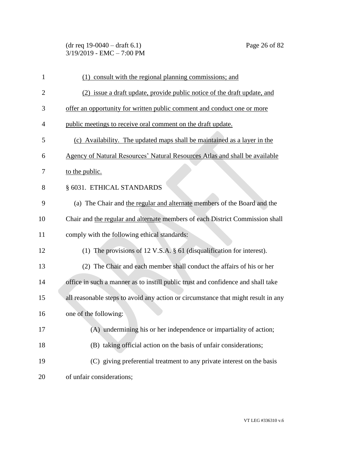| $\mathbf{1}$   | (1) consult with the regional planning commissions; and                           |
|----------------|-----------------------------------------------------------------------------------|
| $\overline{2}$ | (2) issue a draft update, provide public notice of the draft update, and          |
| 3              | offer an opportunity for written public comment and conduct one or more           |
| 4              | public meetings to receive oral comment on the draft update.                      |
| 5              | (c) Availability. The updated maps shall be maintained as a layer in the          |
| 6              | Agency of Natural Resources' Natural Resources Atlas and shall be available       |
| 7              | to the public.                                                                    |
| 8              | § 6031. ETHICAL STANDARDS                                                         |
| 9              | (a) The Chair and the regular and alternate members of the Board and the          |
| 10             | Chair and the regular and alternate members of each District Commission shall     |
| 11             | comply with the following ethical standards:                                      |
| 12             | (1) The provisions of 12 V.S.A. $\S$ 61 (disqualification for interest).          |
| 13             | (2) The Chair and each member shall conduct the affairs of his or her             |
| 14             | office in such a manner as to instill public trust and confidence and shall take  |
| 15             | all reasonable steps to avoid any action or circumstance that might result in any |
| 16             | one of the following:                                                             |
| 17             | (A) undermining his or her independence or impartiality of action;                |
| 18             | (B) taking official action on the basis of unfair considerations;                 |
| 19             | (C) giving preferential treatment to any private interest on the basis            |
| 20             | of unfair considerations;                                                         |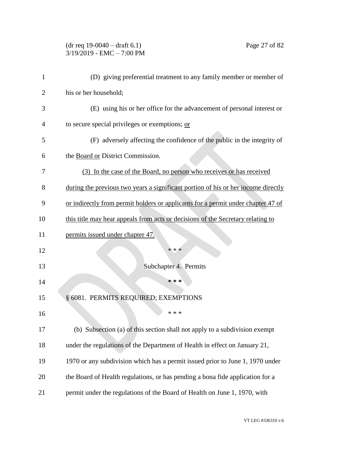#### (dr req 19-0040 – draft 6.1) Page 27 of 82 3/19/2019 - EMC – 7:00 PM

| 1  | (D) giving preferential treatment to any family member or member of               |
|----|-----------------------------------------------------------------------------------|
| 2  | his or her household;                                                             |
| 3  | (E) using his or her office for the advancement of personal interest or           |
| 4  | to secure special privileges or exemptions; or                                    |
| 5  | (F) adversely affecting the confidence of the public in the integrity of          |
| 6  | the Board or District Commission.                                                 |
| 7  | (3) In the case of the Board, no person who receives or has received              |
| 8  | during the previous two years a significant portion of his or her income directly |
| 9  | or indirectly from permit holders or applicants for a permit under chapter 47 of  |
| 10 | this title may hear appeals from acts or decisions of the Secretary relating to   |
| 11 | permits issued under chapter 47.                                                  |
| 12 | * * *                                                                             |
| 13 | Subchapter 4. Permits                                                             |
| 14 | * * *                                                                             |
| 15 | § 6081. PERMITS REQUIRED; EXEMPTIONS                                              |
| 16 | * * *                                                                             |
| 17 | (b) Subsection (a) of this section shall not apply to a subdivision exempt        |
| 18 | under the regulations of the Department of Health in effect on January 21,        |
| 19 | 1970 or any subdivision which has a permit issued prior to June 1, 1970 under     |
| 20 | the Board of Health regulations, or has pending a bona fide application for a     |
| 21 | permit under the regulations of the Board of Health on June 1, 1970, with         |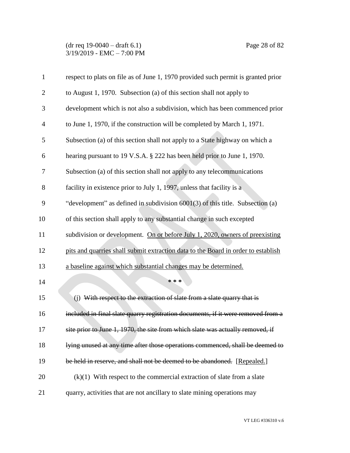| $\mathbf{1}$   | respect to plats on file as of June 1, 1970 provided such permit is granted prior |
|----------------|-----------------------------------------------------------------------------------|
| $\overline{2}$ | to August 1, 1970. Subsection (a) of this section shall not apply to              |
| 3              | development which is not also a subdivision, which has been commenced prior       |
| $\overline{4}$ | to June 1, 1970, if the construction will be completed by March 1, 1971.          |
| 5              | Subsection (a) of this section shall not apply to a State highway on which a      |
| 6              | hearing pursuant to 19 V.S.A. § 222 has been held prior to June 1, 1970.          |
| 7              | Subsection (a) of this section shall not apply to any telecommunications          |
| 8              | facility in existence prior to July 1, 1997, unless that facility is a            |
| 9              | "development" as defined in subdivision 6001(3) of this title. Subsection (a)     |
| 10             | of this section shall apply to any substantial change in such excepted            |
| 11             | subdivision or development. On or before July 1, 2020, owners of preexisting      |
| 12             | pits and quarries shall submit extraction data to the Board in order to establish |
| 13             | a baseline against which substantial changes may be determined.                   |
| 14             | * * *                                                                             |
| 15             | (j) With respect to the extraction of slate from a slate quarry that is           |
| 16             | included in final slate quarry registration documents, if it were removed from a  |
| 17             | site prior to June 1, 1970, the site from which slate was actually removed, if    |
| 18             | lying unused at any time after those operations commenced, shall be deemed to     |
| 19             | be held in reserve, and shall not be deemed to be abandoned. [Repealed.]          |
| 20             | $(k)(1)$ With respect to the commercial extraction of slate from a slate          |
| 21             | quarry, activities that are not ancillary to slate mining operations may          |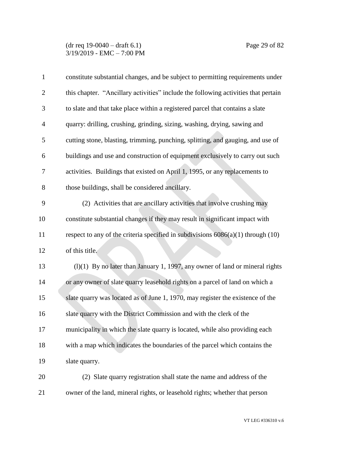# (dr req 19-0040 – draft 6.1) Page 29 of 82 3/19/2019 - EMC – 7:00 PM

| $\mathbf{1}$             | constitute substantial changes, and be subject to permitting requirements under      |
|--------------------------|--------------------------------------------------------------------------------------|
| $\overline{2}$           | this chapter. "Ancillary activities" include the following activities that pertain   |
| 3                        | to slate and that take place within a registered parcel that contains a slate        |
| $\overline{\mathcal{A}}$ | quarry: drilling, crushing, grinding, sizing, washing, drying, sawing and            |
| 5                        | cutting stone, blasting, trimming, punching, splitting, and gauging, and use of      |
| 6                        | buildings and use and construction of equipment exclusively to carry out such        |
| 7                        | activities. Buildings that existed on April 1, 1995, or any replacements to          |
| 8                        | those buildings, shall be considered ancillary.                                      |
| 9                        | (2) Activities that are ancillary activities that involve crushing may               |
| 10                       | constitute substantial changes if they may result in significant impact with         |
| 11                       | respect to any of the criteria specified in subdivisions $6086(a)(1)$ through $(10)$ |
| 12                       | of this title.                                                                       |
| 13                       | $(1)(1)$ By no later than January 1, 1997, any owner of land or mineral rights       |
| 14                       | or any owner of slate quarry leasehold rights on a parcel of land on which a         |
| 15                       | slate quarry was located as of June 1, 1970, may register the existence of the       |
| 16                       | slate quarry with the District Commission and with the clerk of the                  |
| 17                       | municipality in which the slate quarry is located, while also providing each         |
| 18                       | with a map which indicates the boundaries of the parcel which contains the           |
| 19                       | slate quarry.                                                                        |
| 20                       | (2) Slate quarry registration shall state the name and address of the                |
| 21                       | owner of the land, mineral rights, or leasehold rights; whether that person          |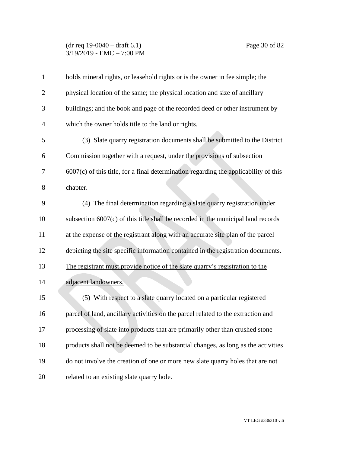### (dr req 19-0040 – draft 6.1) Page 30 of 82 3/19/2019 - EMC – 7:00 PM

| $\mathbf{1}$   | holds mineral rights, or leasehold rights or is the owner in fee simple; the           |
|----------------|----------------------------------------------------------------------------------------|
| $\overline{2}$ | physical location of the same; the physical location and size of ancillary             |
| 3              | buildings; and the book and page of the recorded deed or other instrument by           |
| $\overline{4}$ | which the owner holds title to the land or rights.                                     |
| 5              | (3) Slate quarry registration documents shall be submitted to the District             |
| 6              | Commission together with a request, under the provisions of subsection                 |
| 7              | $6007(c)$ of this title, for a final determination regarding the applicability of this |
| 8              | chapter.                                                                               |
| 9              | (4) The final determination regarding a slate quarry registration under                |
| 10             | subsection $6007(c)$ of this title shall be recorded in the municipal land records     |
| 11             | at the expense of the registrant along with an accurate site plan of the parcel        |
| 12             | depicting the site specific information contained in the registration documents.       |
| 13             | The registrant must provide notice of the slate quarry's registration to the           |
| 14             | adjacent landowners.                                                                   |
| 15             | (5) With respect to a slate quarry located on a particular registered                  |
| 16             | parcel of land, ancillary activities on the parcel related to the extraction and       |
| 17             | processing of slate into products that are primarily other than crushed stone          |
| 18             | products shall not be deemed to be substantial changes, as long as the activities      |
| 19             | do not involve the creation of one or more new slate quarry holes that are not         |
| 20             | related to an existing slate quarry hole.                                              |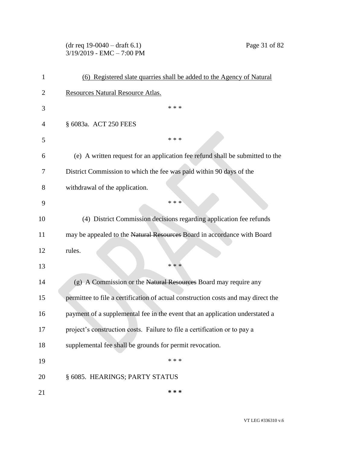#### (dr req 19-0040 – draft 6.1) Page 31 of 82 3/19/2019 - EMC – 7:00 PM

| 1  | (6) Registered slate quarries shall be added to the Agency of Natural             |
|----|-----------------------------------------------------------------------------------|
| 2  | Resources Natural Resource Atlas.                                                 |
| 3  | * * *                                                                             |
| 4  | § 6083a. ACT 250 FEES                                                             |
| 5  | * * *                                                                             |
| 6  | (e) A written request for an application fee refund shall be submitted to the     |
| 7  | District Commission to which the fee was paid within 90 days of the               |
| 8  | withdrawal of the application.                                                    |
| 9  | * * *                                                                             |
| 10 | (4) District Commission decisions regarding application fee refunds               |
| 11 | may be appealed to the Natural Resources Board in accordance with Board           |
| 12 | rules.                                                                            |
| 13 | * * *                                                                             |
| 14 | (g) A Commission or the Natural Resources Board may require any                   |
| 15 | permittee to file a certification of actual construction costs and may direct the |
| 16 | payment of a supplemental fee in the event that an application understated a      |
| 17 | project's construction costs. Failure to file a certification or to pay a         |
| 18 | supplemental fee shall be grounds for permit revocation.                          |
| 19 | * * *                                                                             |
| 20 | § 6085. HEARINGS; PARTY STATUS                                                    |
| 21 | * * *                                                                             |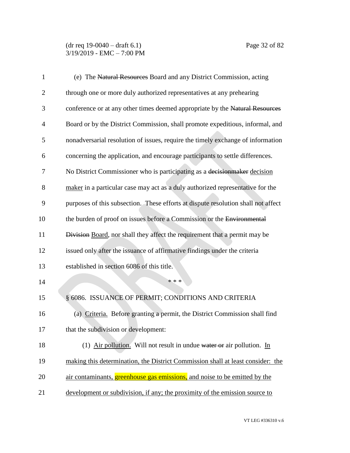| 1              | (e) The Natural Resources Board and any District Commission, acting               |
|----------------|-----------------------------------------------------------------------------------|
| $\overline{2}$ | through one or more duly authorized representatives at any prehearing             |
| 3              | conference or at any other times deemed appropriate by the Natural Resources      |
| $\overline{4}$ | Board or by the District Commission, shall promote expeditious, informal, and     |
| 5              | nonadversarial resolution of issues, require the timely exchange of information   |
| 6              | concerning the application, and encourage participants to settle differences.     |
| 7              | No District Commissioner who is participating as a decision maker decision        |
| 8              | maker in a particular case may act as a duly authorized representative for the    |
| 9              | purposes of this subsection. These efforts at dispute resolution shall not affect |
| 10             | the burden of proof on issues before a Commission or the Environmental            |
| 11             | Division Board, nor shall they affect the requirement that a permit may be        |
| 12             | issued only after the issuance of affirmative findings under the criteria         |
| 13             | established in section 6086 of this title.                                        |
| 14             | * * *                                                                             |
| 15             | § 6086. ISSUANCE OF PERMIT; CONDITIONS AND CRITERIA                               |
| 16             | (a) Criteria. Before granting a permit, the District Commission shall find        |
| 17             | that the subdivision or development:                                              |
| 18             | (1) Air pollution. Will not result in undue water or air pollution. In            |
| 19             | making this determination, the District Commission shall at least consider: the   |
| 20             | air contaminants, greenhouse gas emissions, and noise to be emitted by the        |
| 21             | development or subdivision, if any; the proximity of the emission source to       |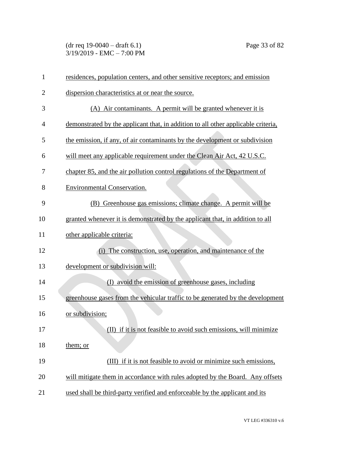## (dr req 19-0040 – draft 6.1) Page 33 of 82 3/19/2019 - EMC – 7:00 PM

| $\mathbf{1}$   | residences, population centers, and other sensitive receptors; and emission       |
|----------------|-----------------------------------------------------------------------------------|
| $\overline{2}$ | dispersion characteristics at or near the source.                                 |
| 3              | (A) Air contaminants. A permit will be granted whenever it is                     |
| 4              | demonstrated by the applicant that, in addition to all other applicable criteria, |
| 5              | the emission, if any, of air contaminants by the development or subdivision       |
| 6              | will meet any applicable requirement under the Clean Air Act, 42 U.S.C.           |
| 7              | chapter 85, and the air pollution control regulations of the Department of        |
| 8              | Environmental Conservation.                                                       |
| 9              | (B) Greenhouse gas emissions; climate change. A permit will be                    |
| 10             | granted whenever it is demonstrated by the applicant that, in addition to all     |
| 11             | other applicable criteria:                                                        |
| 12             | (i) The construction, use, operation, and maintenance of the                      |
| 13             | development or subdivision will:                                                  |
| 14             | (I) avoid the emission of greenhouse gases, including                             |
| 15             | greenhouse gases from the vehicular traffic to be generated by the development    |
| 16             | or subdivision;                                                                   |
| 17             | (II) if it is not feasible to avoid such emissions, will minimize                 |
| 18             | them; or                                                                          |
| 19             | (III) if it is not feasible to avoid or minimize such emissions,                  |
| 20             | will mitigate them in accordance with rules adopted by the Board. Any offsets     |
| 21             | used shall be third-party verified and enforceable by the applicant and its       |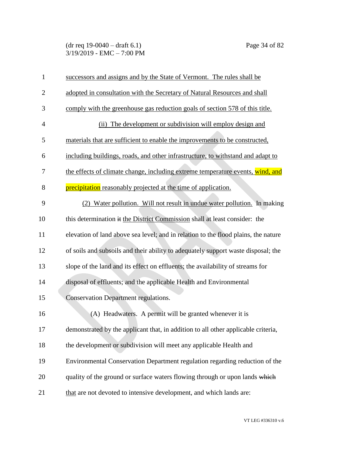#### (dr req 19-0040 – draft 6.1) Page 34 of 82 3/19/2019 - EMC – 7:00 PM

| $\mathbf{1}$   | successors and assigns and by the State of Vermont. The rules shall be             |
|----------------|------------------------------------------------------------------------------------|
| $\overline{2}$ | adopted in consultation with the Secretary of Natural Resources and shall          |
| 3              | comply with the greenhouse gas reduction goals of section 578 of this title.       |
| $\overline{4}$ | (ii) The development or subdivision will employ design and                         |
| 5              | materials that are sufficient to enable the improvements to be constructed,        |
| 6              | including buildings, roads, and other infrastructure, to withstand and adapt to    |
| 7              | the effects of climate change, including extreme temperature events, wind, and     |
| 8              | precipitation reasonably projected at the time of application.                     |
| 9              | (2) Water pollution. Will not result in undue water pollution. In making           |
| 10             | this determination it the District Commission shall at least consider: the         |
| 11             | elevation of land above sea level; and in relation to the flood plains, the nature |
| 12             | of soils and subsoils and their ability to adequately support waste disposal; the  |
| 13             | slope of the land and its effect on effluents; the availability of streams for     |
| 14             | disposal of effluents; and the applicable Health and Environmental                 |
| 15             | <b>Conservation Department regulations.</b>                                        |
| 16             | (A) Headwaters. A permit will be granted whenever it is                            |
| 17             | demonstrated by the applicant that, in addition to all other applicable criteria,  |
| 18             | the development or subdivision will meet any applicable Health and                 |
| 19             | Environmental Conservation Department regulation regarding reduction of the        |
| 20             | quality of the ground or surface waters flowing through or upon lands which        |
| 21             | that are not devoted to intensive development, and which lands are:                |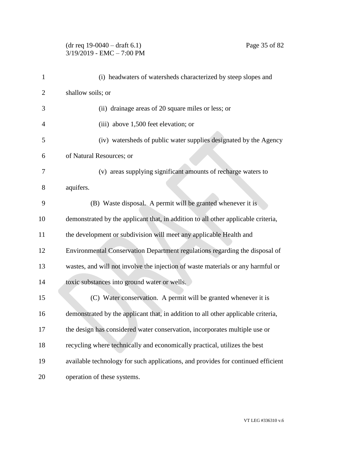## (dr req 19-0040 – draft 6.1) Page 35 of 82 3/19/2019 - EMC – 7:00 PM

| 1              | (i) headwaters of watersheds characterized by steep slopes and                    |
|----------------|-----------------------------------------------------------------------------------|
| $\overline{c}$ | shallow soils; or                                                                 |
| 3              | (ii) drainage areas of 20 square miles or less; or                                |
| 4              | (iii) above 1,500 feet elevation; or                                              |
| 5              | (iv) watersheds of public water supplies designated by the Agency                 |
| 6              | of Natural Resources; or                                                          |
| 7              | (v) areas supplying significant amounts of recharge waters to                     |
| 8              | aquifers.                                                                         |
| 9              | (B) Waste disposal. A permit will be granted whenever it is                       |
| 10             | demonstrated by the applicant that, in addition to all other applicable criteria, |
| 11             | the development or subdivision will meet any applicable Health and                |
| 12             | Environmental Conservation Department regulations regarding the disposal of       |
| 13             | wastes, and will not involve the injection of waste materials or any harmful or   |
| 14             | toxic substances into ground water or wells.                                      |
| 15             | (C) Water conservation. A permit will be granted whenever it is                   |
| 16             | demonstrated by the applicant that, in addition to all other applicable criteria, |
| 17             | the design has considered water conservation, incorporates multiple use or        |
| 18             | recycling where technically and economically practical, utilizes the best         |
| 19             | available technology for such applications, and provides for continued efficient  |
| 20             | operation of these systems.                                                       |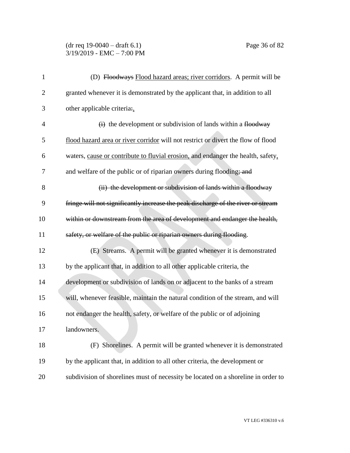#### (dr req 19-0040 – draft 6.1) Page 36 of 82 3/19/2019 - EMC – 7:00 PM

| 1              | (D) Floodways Flood hazard areas; river corridors. A permit will be               |
|----------------|-----------------------------------------------------------------------------------|
| $\overline{2}$ | granted whenever it is demonstrated by the applicant that, in addition to all     |
| 3              | other applicable criteria:,                                                       |
| $\overline{4}$ | $\overrightarrow{H}$ the development or subdivision of lands within a flood way   |
| 5              | flood hazard area or river corridor will not restrict or divert the flow of flood |
| 6              | waters, cause or contribute to fluvial erosion, and endanger the health, safety,  |
| 7              | and welfare of the public or of riparian owners during flooding; and              |
| 8              | (ii) the development or subdivision of lands within a floodway                    |
| 9              | fringe will not significantly increase the peak discharge of the river or stream  |
| 10             | within or downstream from the area of development and endanger the health,        |
| 11             | safety, or welfare of the public or riparian owners during flooding.              |
| 12             | (E) Streams. A permit will be granted whenever it is demonstrated                 |
| 13             | by the applicant that, in addition to all other applicable criteria, the          |
| 14             | development or subdivision of lands on or adjacent to the banks of a stream       |
| 15             | will, whenever feasible, maintain the natural condition of the stream, and will   |
| 16             | not endanger the health, safety, or welfare of the public or of adjoining         |
| 17             | landowners.                                                                       |
| 18             | (F) Shorelines. A permit will be granted whenever it is demonstrated              |
| 19             | by the applicant that, in addition to all other criteria, the development or      |
| 20             | subdivision of shorelines must of necessity be located on a shoreline in order to |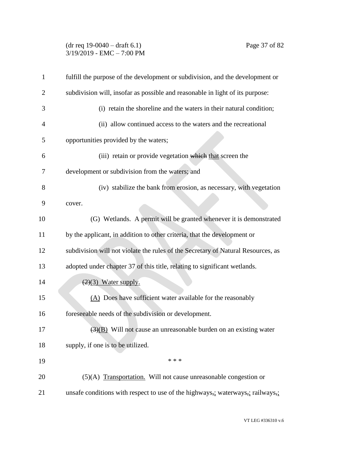## (dr req 19-0040 – draft 6.1) Page 37 of 82 3/19/2019 - EMC – 7:00 PM

| 1              | fulfill the purpose of the development or subdivision, and the development or    |
|----------------|----------------------------------------------------------------------------------|
| $\overline{2}$ | subdivision will, insofar as possible and reasonable in light of its purpose:    |
| 3              | (i) retain the shoreline and the waters in their natural condition;              |
| 4              | (ii) allow continued access to the waters and the recreational                   |
| 5              | opportunities provided by the waters;                                            |
| 6              | (iii) retain or provide vegetation which that screen the                         |
| 7              | development or subdivision from the waters; and                                  |
| 8              | (iv) stabilize the bank from erosion, as necessary, with vegetation              |
| 9              | cover.                                                                           |
| 10             | (G) Wetlands. A permit will be granted whenever it is demonstrated               |
| 11             | by the applicant, in addition to other criteria, that the development or         |
| 12             | subdivision will not violate the rules of the Secretary of Natural Resources, as |
| 13             | adopted under chapter 37 of this title, relating to significant wetlands.        |
| 14             | $(2)(3)$ Water supply.                                                           |
| 15             | $(A)$ Does have sufficient water available for the reasonably                    |
| 16             | foreseeable needs of the subdivision or development.                             |
| 17             | $\overline{(3)(B)}$ Will not cause an unreasonable burden on an existing water   |
| 18             | supply, if one is to be utilized.                                                |
| 19             | * * *                                                                            |
| 20             | $(5)(A)$ Transportation. Will not cause unreasonable congestion or               |
| 21             | unsafe conditions with respect to use of the highways, waterways, railways,      |

VT LEG #336310 v.6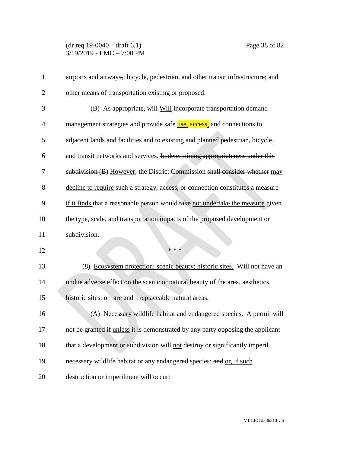| $\mathbf{1}$   | airports and airways,: bicycle, pedestrian, and other transit infrastructure; and |
|----------------|-----------------------------------------------------------------------------------|
| 2              | other means of transportation existing or proposed.                               |
| 3              | (B) As appropriate, will Will incorporate transportation demand                   |
| $\overline{4}$ | management strategies and provide safe <u>use, access</u> , and connections to    |
| 5              | adjacent lands and facilities and to existing and planned pedestrian, bicycle,    |
| 6              | and transit networks and services. In determining appropriateness under this      |
| 7              | subdivision (B) However, the District Commission shall consider whether may       |
| 8              | decline to require such a strategy, access, or connection constitutes a measure   |
| 9              | if it finds that a reasonable person would take not undertake the measure given   |
| 10             | the type, scale, and transportation impacts of the proposed development or        |
| 11             | subdivision.                                                                      |
| 12             | * * *                                                                             |
| 13             | (8) Ecosystem protection; scenic beauty; historic sites. Will not have an         |
| 14             | undue adverse effect on the scenic or natural beauty of the area, aesthetics,     |
| 15             | historic sites, or rare and irreplaceable natural areas.                          |
| 16             | (A) Necessary wildlife habitat and endangered species. A permit will              |
| 17             | not be granted if unless it is demonstrated by any party opposing the applicant   |
| 18             | that a development or subdivision will not destroy or significantly imperil       |
| 19             | necessary wildlife habitat or any endangered species; and or, if such             |
| 20             | destruction or imperilment will occur:                                            |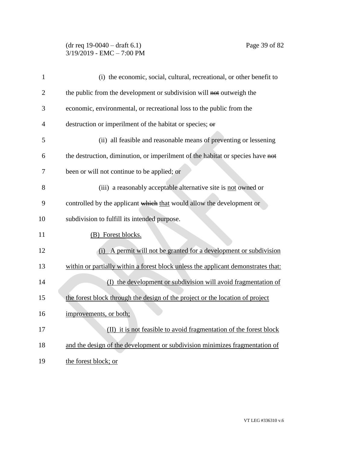## (dr req 19-0040 – draft 6.1) Page 39 of 82 3/19/2019 - EMC – 7:00 PM

| $\mathbf{1}$   | (i) the economic, social, cultural, recreational, or other benefit to             |
|----------------|-----------------------------------------------------------------------------------|
| $\overline{2}$ | the public from the development or subdivision will not outweigh the              |
| 3              | economic, environmental, or recreational loss to the public from the              |
| $\overline{4}$ | destruction or imperilment of the habitat or species; or                          |
| 5              | (ii) all feasible and reasonable means of preventing or lessening                 |
| 6              | the destruction, diminution, or imperilment of the habitat or species have not    |
| 7              | been or will not continue to be applied; or                                       |
| 8              | (iii) a reasonably acceptable alternative site is not owned or                    |
| 9              | controlled by the applicant which that would allow the development or             |
| 10             | subdivision to fulfill its intended purpose.                                      |
| 11             | (B) Forest blocks.                                                                |
| 12             | (i) A permit will not be granted for a development or subdivision                 |
| 13             | within or partially within a forest block unless the applicant demonstrates that: |
| 14             | (I) the development or subdivision will avoid fragmentation of                    |
| 15             | the forest block through the design of the project or the location of project     |
| 16             | improvements, or both;                                                            |
| 17             | (II) it is not feasible to avoid fragmentation of the forest block                |
| 18             | and the design of the development or subdivision minimizes fragmentation of       |
| 19             | the forest block; or                                                              |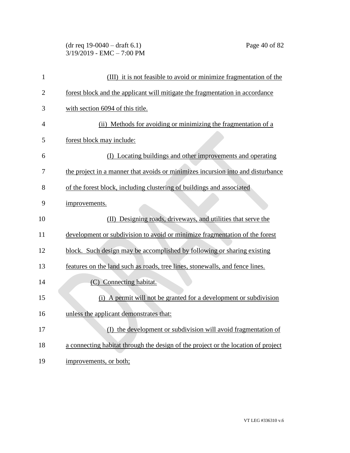# (dr req 19-0040 – draft 6.1) Page 40 of 82 3/19/2019 - EMC – 7:00 PM

| 1              | (III) it is not feasible to avoid or minimize fragmentation of the                |
|----------------|-----------------------------------------------------------------------------------|
| $\overline{2}$ | forest block and the applicant will mitigate the fragmentation in accordance      |
| 3              | with section 6094 of this title.                                                  |
| 4              | (ii) Methods for avoiding or minimizing the fragmentation of a                    |
| 5              | forest block may include:                                                         |
| 6              | (I) Locating buildings and other improvements and operating                       |
| 7              | the project in a manner that avoids or minimizes incursion into and disturbance   |
| 8              | of the forest block, including clustering of buildings and associated             |
| 9              | improvements.                                                                     |
| 10             | (II) Designing roads, driveways, and utilities that serve the                     |
| 11             | development or subdivision to avoid or minimize fragmentation of the forest       |
| 12             | block. Such design may be accomplished by following or sharing existing           |
| 13             | features on the land such as roads, tree lines, stonewalls, and fence lines.      |
| 14             | (C) Connecting habitat.                                                           |
| 15             | (i) A permit will not be granted for a development or subdivision                 |
| 16             | unless the applicant demonstrates that:                                           |
| 17             | (I) the development or subdivision will avoid fragmentation of                    |
| 18             | a connecting habitat through the design of the project or the location of project |
| 19             | improvements, or both;                                                            |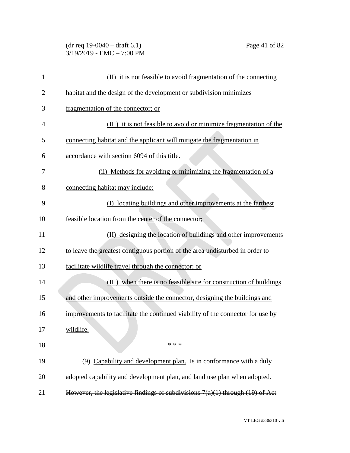## (dr req 19-0040 – draft 6.1) Page 41 of 82 3/19/2019 - EMC – 7:00 PM

| 1  | (II) it is not feasible to avoid fragmentation of the connecting                  |
|----|-----------------------------------------------------------------------------------|
| 2  | habitat and the design of the development or subdivision minimizes                |
| 3  | fragmentation of the connector; or                                                |
| 4  | (III) it is not feasible to avoid or minimize fragmentation of the                |
| 5  | connecting habitat and the applicant will mitigate the fragmentation in           |
| 6  | accordance with section 6094 of this title.                                       |
| 7  | (ii) Methods for avoiding or minimizing the fragmentation of a                    |
| 8  | connecting habitat may include:                                                   |
| 9  | (I) locating buildings and other improvements at the farthest                     |
| 10 | feasible location from the center of the connector;                               |
| 11 | (II) designing the location of buildings and other improvements                   |
| 12 | to leave the greatest contiguous portion of the area undisturbed in order to      |
| 13 | facilitate wildlife travel through the connector; or                              |
| 14 | (III) when there is no feasible site for construction of buildings                |
| 15 | and other improvements outside the connector, designing the buildings and         |
| 16 | improvements to facilitate the continued viability of the connector for use by    |
| 17 | wildlife.                                                                         |
| 18 | * * *                                                                             |
| 19 | (9) Capability and development plan. Is in conformance with a duly                |
| 20 | adopted capability and development plan, and land use plan when adopted.          |
| 21 | However, the legislative findings of subdivisions $7(a)(1)$ through $(19)$ of Act |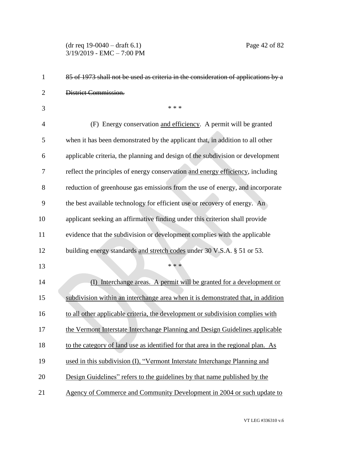| 1              | 85 of 1973 shall not be used as criteria in the consideration of applications by a |
|----------------|------------------------------------------------------------------------------------|
| $\overline{2}$ | District Commission.                                                               |
| 3              | * * *                                                                              |
| 4              | (F) Energy conservation and efficiency. A permit will be granted                   |
| 5              | when it has been demonstrated by the applicant that, in addition to all other      |
| 6              | applicable criteria, the planning and design of the subdivision or development     |
| 7              | reflect the principles of energy conservation and energy efficiency, including     |
| 8              | reduction of greenhouse gas emissions from the use of energy, and incorporate      |
| 9              | the best available technology for efficient use or recovery of energy. An          |
| 10             | applicant seeking an affirmative finding under this criterion shall provide        |
| 11             | evidence that the subdivision or development complies with the applicable          |
| 12             | building energy standards and stretch codes under 30 V.S.A. § 51 or 53.            |
| 13             | * * *                                                                              |
| 14             | Interchange areas. A permit will be granted for a development or<br>(I)            |
| 15             | subdivision within an interchange area when it is demonstrated that, in addition   |
| 16             | to all other applicable criteria, the development or subdivision complies with     |
| 17             | the Vermont Interstate Interchange Planning and Design Guidelines applicable       |
| 18             | to the category of land use as identified for that area in the regional plan. As   |
| 19             | used in this subdivision (I), "Vermont Interstate Interchange Planning and         |
| 20             | Design Guidelines" refers to the guidelines by that name published by the          |
| 21             | Agency of Commerce and Community Development in 2004 or such update to             |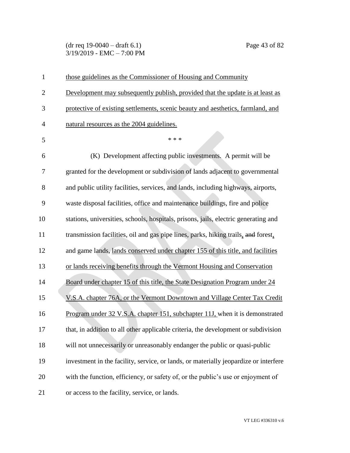(dr req 19-0040 – draft 6.1) Page 43 of 82 3/19/2019 - EMC – 7:00 PM

| $\mathbf{1}$   | those guidelines as the Commissioner of Housing and Community                        |
|----------------|--------------------------------------------------------------------------------------|
| $\overline{2}$ | Development may subsequently publish, provided that the update is at least as        |
| 3              | protective of existing settlements, scenic beauty and aesthetics, farmland, and      |
| $\overline{4}$ | natural resources as the 2004 guidelines.                                            |
| 5              | * * *                                                                                |
| 6              | (K) Development affecting public investments. A permit will be                       |
| 7              | granted for the development or subdivision of lands adjacent to governmental         |
| 8              | and public utility facilities, services, and lands, including highways, airports,    |
| 9              | waste disposal facilities, office and maintenance buildings, fire and police         |
| 10             | stations, universities, schools, hospitals, prisons, jails, electric generating and  |
| 11             | transmission facilities, oil and gas pipe lines, parks, hiking trails, and forest,   |
| 12             | and game lands, lands conserved under chapter 155 of this title, and facilities      |
| 13             | or lands receiving benefits through the Vermont Housing and Conservation             |
| 14             | Board under chapter 15 of this title, the State Designation Program under 24         |
| 15             | V.S.A. chapter 76A, or the Vermont Downtown and Village Center Tax Credit            |
| 16             | Program under 32 V.S.A. chapter 151, subchapter 11J, when it is demonstrated         |
| 17             | that, in addition to all other applicable criteria, the development or subdivision   |
| 18             | will not unnecessarily or unreasonably endanger the public or quasi-public           |
| 19             | investment in the facility, service, or lands, or materially jeopardize or interfere |
| 20             | with the function, efficiency, or safety of, or the public's use or enjoyment of     |
| 21             | or access to the facility, service, or lands.                                        |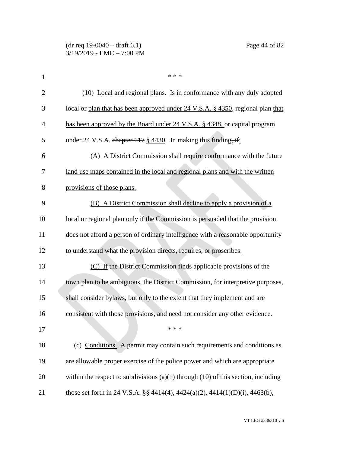| $\mathbf{1}$   | * * *                                                                                 |
|----------------|---------------------------------------------------------------------------------------|
| $\overline{2}$ | (10) Local and regional plans. Is in conformance with any duly adopted                |
| 3              | local or plan that has been approved under 24 V.S.A. § 4350, regional plan that       |
| $\overline{4}$ | has been approved by the Board under 24 V.S.A. § 4348, or capital program             |
| 5              | under 24 V.S.A. chapter $117 \frac{8}{9}$ 4430. In making this finding, if:           |
| 6              | (A) A District Commission shall require conformance with the future                   |
| 7              | land use maps contained in the local and regional plans and with the written          |
| 8              | provisions of those plans.                                                            |
| 9              | (B) A District Commission shall decline to apply a provision of a                     |
| 10             | local or regional plan only if the Commission is persuaded that the provision         |
| 11             | does not afford a person of ordinary intelligence with a reasonable opportunity       |
| 12             | to understand what the provision directs, requires, or proscribes.                    |
| 13             | (C) If the District Commission finds applicable provisions of the                     |
| 14             | town plan to be ambiguous, the District Commission, for interpretive purposes,        |
| 15             | shall consider bylaws, but only to the extent that they implement and are             |
| 16             | consistent with those provisions, and need not consider any other evidence.           |
| 17             | * * *                                                                                 |
| 18             | (c) Conditions. A permit may contain such requirements and conditions as              |
| 19             | are allowable proper exercise of the police power and which are appropriate           |
| 20             | within the respect to subdivisions $(a)(1)$ through $(10)$ of this section, including |
| 21             | those set forth in 24 V.S.A. §§ 4414(4), 4424(a)(2), 4414(1)(D)(i), 4463(b),          |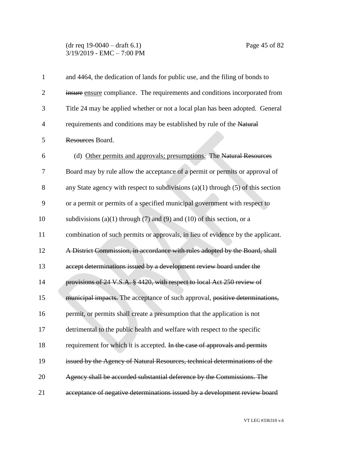#### (dr req 19-0040 – draft 6.1) Page 45 of 82 3/19/2019 - EMC – 7:00 PM

| $\mathbf{1}$   | and 4464, the dedication of lands for public use, and the filing of bonds to         |
|----------------|--------------------------------------------------------------------------------------|
| $\overline{2}$ | insure ensure compliance. The requirements and conditions incorporated from          |
| 3              | Title 24 may be applied whether or not a local plan has been adopted. General        |
| $\overline{4}$ | requirements and conditions may be established by rule of the Natural                |
| 5              | Resources Board.                                                                     |
| 6              | (d) Other permits and approvals; presumptions. The Natural Resources                 |
| 7              | Board may by rule allow the acceptance of a permit or permits or approval of         |
| 8              | any State agency with respect to subdivisions $(a)(1)$ through $(5)$ of this section |
| 9              | or a permit or permits of a specified municipal government with respect to           |
| 10             | subdivisions (a)(1) through (7) and (9) and (10) of this section, or a               |
| 11             | combination of such permits or approvals, in lieu of evidence by the applicant.      |
| 12             | A District Commission, in accordance with rules adopted by the Board, shall          |
| 13             | accept determinations issued by a development review board under the                 |
| 14             | provisions of 24 V.S.A. § 4420, with respect to local Act 250 review of              |
| 15             | municipal impacts. The acceptance of such approval, positive determinations,         |
| 16             | permit, or permits shall create a presumption that the application is not            |
| 17             | detrimental to the public health and welfare with respect to the specific            |
| 18             | requirement for which it is accepted. In the case of approvals and permits           |
| 19             | issued by the Agency of Natural Resources, technical determinations of the           |
| 20             | Agency shall be accorded substantial deference by the Commissions. The               |
| 21             | acceptance of negative determinations issued by a development review board           |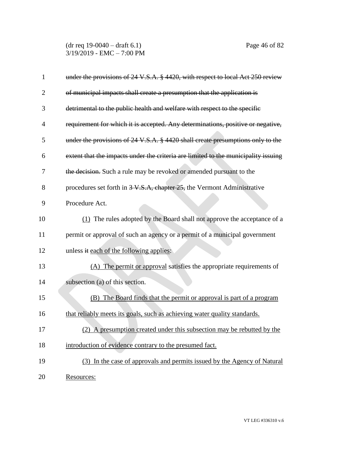(dr req 19-0040 – draft 6.1) Page 46 of 82  $3/19/2019$  - EMC - 7:00 PM

| 1              | under the provisions of 24 V.S.A. § 4420, with respect to local Act 250 review     |
|----------------|------------------------------------------------------------------------------------|
| $\overline{2}$ | of municipal impacts shall create a presumption that the application is            |
| 3              | detrimental to the public health and welfare with respect to the specific          |
| 4              | requirement for which it is accepted. Any determinations, positive or negative,    |
| 5              | under the provisions of 24 V.S.A. § 4420 shall create presumptions only to the     |
| 6              | extent that the impacts under the criteria are limited to the municipality issuing |
| 7              | the decision. Such a rule may be revoked or amended pursuant to the                |
| 8              | procedures set forth in 3-V.S.A, chapter 25, the Vermont Administrative            |
| 9              | Procedure Act.                                                                     |
| 10             | (1) The rules adopted by the Board shall not approve the acceptance of a           |
| 11             | permit or approval of such an agency or a permit of a municipal government         |
| 12             | unless it each of the following applies:                                           |
| 13             | (A) The permit or approval satisfies the appropriate requirements of               |
| 14             | subsection (a) of this section.                                                    |
| 15             | (B) The Board finds that the permit or approval is part of a program               |
| 16             | that reliably meets its goals, such as achieving water quality standards.          |
| 17             | (2) A presumption created under this subsection may be rebutted by the             |
| 18             | introduction of evidence contrary to the presumed fact.                            |
| 19             | (3) In the case of approvals and permits issued by the Agency of Natural           |
| 20             | Resources:                                                                         |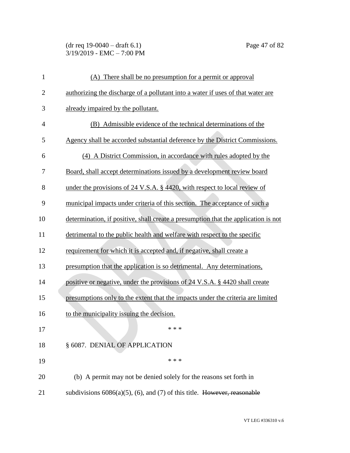## (dr req 19-0040 – draft 6.1) Page 47 of 82 3/19/2019 - EMC – 7:00 PM

| $\mathbf{1}$   | (A) There shall be no presumption for a permit or approval                         |
|----------------|------------------------------------------------------------------------------------|
| $\overline{2}$ | authorizing the discharge of a pollutant into a water if uses of that water are    |
| 3              | already impaired by the pollutant.                                                 |
| $\overline{4}$ | (B) Admissible evidence of the technical determinations of the                     |
| 5              | Agency shall be accorded substantial deference by the District Commissions.        |
| 6              | (4) A District Commission, in accordance with rules adopted by the                 |
| 7              | Board, shall accept determinations issued by a development review board            |
| 8              | under the provisions of 24 V.S.A. § 4420, with respect to local review of          |
| 9              | municipal impacts under criteria of this section. The acceptance of such a         |
| 10             | determination, if positive, shall create a presumption that the application is not |
| 11             | detrimental to the public health and welfare with respect to the specific          |
| 12             | requirement for which it is accepted and, if negative, shall create a              |
| 13             | presumption that the application is so detrimental. Any determinations,            |
| 14             | positive or negative, under the provisions of 24 V.S.A. § 4420 shall create        |
| 15             | presumptions only to the extent that the impacts under the criteria are limited    |
| 16             | to the municipality issuing the decision.                                          |
| 17             | * * *                                                                              |
| 18             | § 6087. DENIAL OF APPLICATION                                                      |
| 19             | * * *                                                                              |
| 20             | (b) A permit may not be denied solely for the reasons set forth in                 |
| 21             | subdivisions $6086(a)(5)$ , (6), and (7) of this title. However, reasonable        |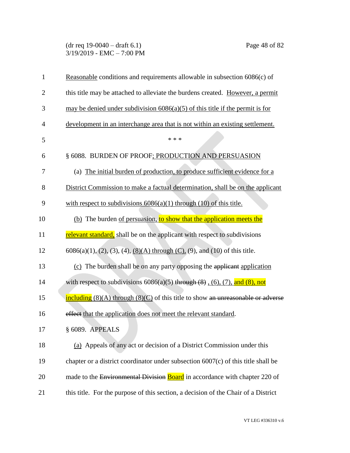#### (dr req 19-0040 – draft 6.1) Page 48 of 82 3/19/2019 - EMC – 7:00 PM

| $\mathbf{1}$   | Reasonable conditions and requirements allowable in subsection 6086(c) of                                          |
|----------------|--------------------------------------------------------------------------------------------------------------------|
| $\overline{2}$ | this title may be attached to alleviate the burdens created. However, a permit                                     |
| 3              | may be denied under subdivision $6086(a)(5)$ of this title if the permit is for                                    |
| $\overline{4}$ | development in an interchange area that is not within an existing settlement.                                      |
| 5              | * * *                                                                                                              |
| 6              | § 6088. BURDEN OF PROOF; PRODUCTION AND PERSUASION                                                                 |
| 7              | (a) The initial burden of production, to produce sufficient evidence for a                                         |
| 8              | District Commission to make a factual determination, shall be on the applicant                                     |
| 9              | with respect to subdivisions $6086(a)(1)$ through $(10)$ of this title.                                            |
| 10             | (b) The burden of persuasion, to show that the application meets the                                               |
| 11             | relevant standard, shall be on the applicant with respect to subdivisions                                          |
| 12             | $6086(a)(1)$ , (2), (3), (4), <u>(8)(A)</u> through (C), (9), and (10) of this title.                              |
| 13             | (c) The burden shall be on any party opposing the applicant application                                            |
| 14             | with respect to subdivisions $6086(a)(5)$ through $(8)$ , $(6)$ , $(7)$ , and $(8)$ , not                          |
| 15             | $\frac{\text{including}}{\text{including}}$ (8)(A) through (8)(C) of this title to show an unreasonable or adverse |
| 16             | effect that the application does not meet the relevant standard.                                                   |
| 17             | § 6089. APPEALS                                                                                                    |
| 18             | (a) Appeals of any act or decision of a District Commission under this                                             |
| 19             | chapter or a district coordinator under subsection 6007(c) of this title shall be                                  |
| 20             | made to the Environmental Division Board in accordance with chapter 220 of                                         |
| 21             | this title. For the purpose of this section, a decision of the Chair of a District                                 |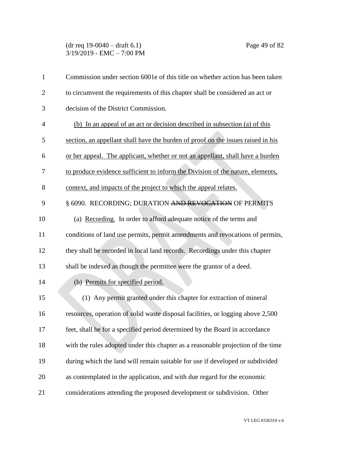#### (dr req 19-0040 – draft 6.1) Page 49 of 82 3/19/2019 - EMC – 7:00 PM

| $\mathbf{1}$   | Commission under section 6001e of this title on whether action has been taken    |
|----------------|----------------------------------------------------------------------------------|
| $\overline{2}$ | to circumvent the requirements of this chapter shall be considered an act or     |
| 3              | decision of the District Commission.                                             |
| $\overline{4}$ | (b) In an appeal of an act or decision described in subsection (a) of this       |
| 5              | section, an appellant shall have the burden of proof on the issues raised in his |
| 6              | or her appeal. The applicant, whether or not an appellant, shall have a burden   |
| 7              | to produce evidence sufficient to inform the Division of the nature, elements,   |
| 8              | context, and impacts of the project to which the appeal relates.                 |
| 9              | § 6090. RECORDING; DURATION AND REVOCATION OF PERMITS                            |
| 10             | (a) Recording. In order to afford adequate notice of the terms and               |
| 11             | conditions of land use permits, permit amendments and revocations of permits,    |
| 12             | they shall be recorded in local land records. Recordings under this chapter      |
| 13             | shall be indexed as though the permittee were the grantor of a deed.             |
| 14             | (b) Permits for specified period.                                                |
| 15             | (1) Any permit granted under this chapter for extraction of mineral              |
| 16             | resources, operation of solid waste disposal facilities, or logging above 2,500  |
| 17             | feet, shall be for a specified period determined by the Board in accordance      |
| 18             | with the rules adopted under this chapter as a reasonable projection of the time |
| 19             | during which the land will remain suitable for use if developed or subdivided    |
| 20             | as contemplated in the application, and with due regard for the economic         |
| 21             | considerations attending the proposed development or subdivision. Other          |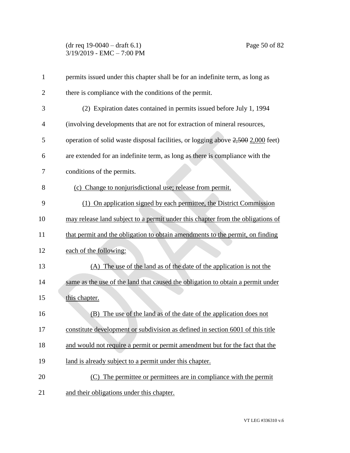## (dr req 19-0040 – draft 6.1) Page 50 of 82 3/19/2019 - EMC – 7:00 PM

| $\mathbf{1}$   | permits issued under this chapter shall be for an indefinite term, as long as    |
|----------------|----------------------------------------------------------------------------------|
| $\overline{2}$ | there is compliance with the conditions of the permit.                           |
| 3              | (2) Expiration dates contained in permits issued before July 1, 1994             |
| 4              | (involving developments that are not for extraction of mineral resources,        |
| 5              | operation of solid waste disposal facilities, or logging above 2,500 2,000 feet) |
| 6              | are extended for an indefinite term, as long as there is compliance with the     |
| 7              | conditions of the permits.                                                       |
| 8              | (c) Change to nonjurisdictional use; release from permit.                        |
| 9              | (1) On application signed by each permittee, the District Commission             |
| 10             | may release land subject to a permit under this chapter from the obligations of  |
| 11             | that permit and the obligation to obtain amendments to the permit, on finding    |
| 12             | each of the following:                                                           |
| 13             | (A) The use of the land as of the date of the application is not the             |
| 14             | same as the use of the land that caused the obligation to obtain a permit under  |
| 15             | this chapter.                                                                    |
| 16             | The use of the land as of the date of the application does not<br>(B)            |
| 17             | constitute development or subdivision as defined in section 6001 of this title   |
| 18             | and would not require a permit or permit amendment but for the fact that the     |
| 19             | land is already subject to a permit under this chapter.                          |
| 20             | (C) The permittee or permittees are in compliance with the permit                |
| 21             | and their obligations under this chapter.                                        |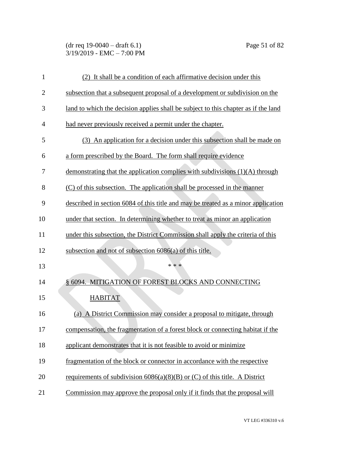# (dr req 19-0040 – draft 6.1) Page 51 of 82 3/19/2019 - EMC – 7:00 PM

| $\mathbf{1}$   | (2) It shall be a condition of each affirmative decision under this                |
|----------------|------------------------------------------------------------------------------------|
| $\overline{2}$ | subsection that a subsequent proposal of a development or subdivision on the       |
| 3              | land to which the decision applies shall be subject to this chapter as if the land |
| $\overline{4}$ | had never previously received a permit under the chapter.                          |
| 5              | (3) An application for a decision under this subsection shall be made on           |
| 6              | a form prescribed by the Board. The form shall require evidence                    |
| 7              | demonstrating that the application complies with subdivisions (1)(A) through       |
| 8              | (C) of this subsection. The application shall be processed in the manner           |
| 9              | described in section 6084 of this title and may be treated as a minor application  |
| 10             | under that section. In determining whether to treat as minor an application        |
| 11             | under this subsection, the District Commission shall apply the criteria of this    |
| 12             | subsection and not of subsection 6086(a) of this title.                            |
| 13             | * * *                                                                              |
| 14             | § 6094. MITIGATION OF FOREST BLOCKS AND CONNECTING                                 |
| 15             | <b>HABITAT</b>                                                                     |
| 16             | A District Commission may consider a proposal to mitigate, through<br>(a)          |
| 17             | compensation, the fragmentation of a forest block or connecting habitat if the     |
| 18             | applicant demonstrates that it is not feasible to avoid or minimize                |
| 19             | fragmentation of the block or connector in accordance with the respective          |
| 20             | requirements of subdivision $6086(a)(8)(B)$ or (C) of this title. A District       |
| 21             | Commission may approve the proposal only if it finds that the proposal will        |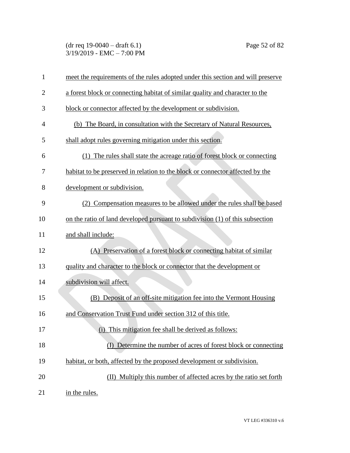(dr req 19-0040 – draft 6.1) Page 52 of 82  $3/19/2019$  - EMC - 7:00 PM

| $\mathbf{1}$   | meet the requirements of the rules adopted under this section and will preserve |
|----------------|---------------------------------------------------------------------------------|
| $\overline{2}$ | a forest block or connecting habitat of similar quality and character to the    |
| 3              | block or connector affected by the development or subdivision.                  |
| 4              | (b) The Board, in consultation with the Secretary of Natural Resources,         |
| 5              | shall adopt rules governing mitigation under this section.                      |
| 6              | (1) The rules shall state the acreage ratio of forest block or connecting       |
| 7              | habitat to be preserved in relation to the block or connector affected by the   |
| 8              | development or subdivision.                                                     |
| 9              | (2) Compensation measures to be allowed under the rules shall be based          |
| 10             | on the ratio of land developed pursuant to subdivision (1) of this subsection   |
| 11             | and shall include:                                                              |
| 12             | (A) Preservation of a forest block or connecting habitat of similar             |
| 13             | quality and character to the block or connector that the development or         |
| 14             | subdivision will affect.                                                        |
| 15             | (B) Deposit of an off-site mitigation fee into the Vermont Housing              |
| 16             | and Conservation Trust Fund under section 312 of this title.                    |
| 17             | (i) This mitigation fee shall be derived as follows:                            |
| 18             | (I) Determine the number of acres of forest block or connecting                 |
| 19             | habitat, or both, affected by the proposed development or subdivision.          |
| 20             | (II) Multiply this number of affected acres by the ratio set forth              |
| 21             | in the rules.                                                                   |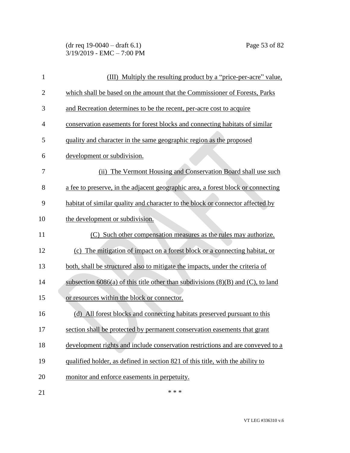| 1              | (III) Multiply the resulting product by a "price-per-acre" value,                       |
|----------------|-----------------------------------------------------------------------------------------|
| $\overline{2}$ | which shall be based on the amount that the Commissioner of Forests, Parks              |
| 3              | and Recreation determines to be the recent, per-acre cost to acquire                    |
| 4              | conservation easements for forest blocks and connecting habitats of similar             |
| 5              | quality and character in the same geographic region as the proposed                     |
| 6              | development or subdivision.                                                             |
| 7              | (ii) The Vermont Housing and Conservation Board shall use such                          |
| 8              | a fee to preserve, in the adjacent geographic area, a forest block or connecting        |
| 9              | habitat of similar quality and character to the block or connector affected by          |
| 10             | the development or subdivision.                                                         |
| 11             | (C) Such other compensation measures as the rules may authorize.                        |
| 12             | (c) The mitigation of impact on a forest block or a connecting habitat, or              |
| 13             | both, shall be structured also to mitigate the impacts, under the criteria of           |
| 14             | subsection $6086(a)$ of this title other than subdivisions $(8)(B)$ and $(C)$ , to land |
| 15             | or resources within the block or connector.                                             |
| 16             | (d) All forest blocks and connecting habitats preserved pursuant to this                |
| 17             | section shall be protected by permanent conservation easements that grant               |
| 18             | development rights and include conservation restrictions and are conveyed to a          |
| 19             | qualified holder, as defined in section 821 of this title, with the ability to          |
| 20             | monitor and enforce easements in perpetuity.                                            |
| 21             | * * *                                                                                   |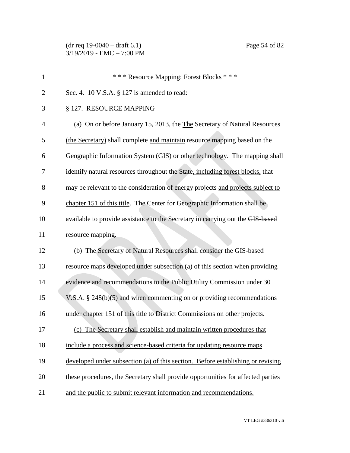| $\mathbf{1}$   | *** Resource Mapping; Forest Blocks ***                                          |
|----------------|----------------------------------------------------------------------------------|
| $\overline{2}$ | Sec. 4. 10 V.S.A. § 127 is amended to read:                                      |
| 3              | § 127. RESOURCE MAPPING                                                          |
| $\overline{4}$ | (a) On or before January 15, 2013, the The Secretary of Natural Resources        |
| 5              | (the Secretary) shall complete and maintain resource mapping based on the        |
| 6              | Geographic Information System (GIS) or other technology. The mapping shall       |
| 7              | identify natural resources throughout the State, including forest blocks, that   |
| 8              | may be relevant to the consideration of energy projects and projects subject to  |
| 9              | chapter 151 of this title. The Center for Geographic Information shall be        |
| 10             | available to provide assistance to the Secretary in carrying out the GIS-based   |
| 11             | resource mapping.                                                                |
| 12             | (b) The Secretary of Natural Resources shall consider the GIS-based              |
| 13             | resource maps developed under subsection (a) of this section when providing      |
| 14             | evidence and recommendations to the Public Utility Commission under 30           |
| 15             | V.S.A. $\S$ 248(b)(5) and when commenting on or providing recommendations        |
| 16             | under chapter 151 of this title to District Commissions on other projects.       |
| 17             | (c) The Secretary shall establish and maintain written procedures that           |
| 18             | include a process and science-based criteria for updating resource maps          |
| 19             | developed under subsection (a) of this section. Before establishing or revising  |
| 20             | these procedures, the Secretary shall provide opportunities for affected parties |
| 21             | and the public to submit relevant information and recommendations.               |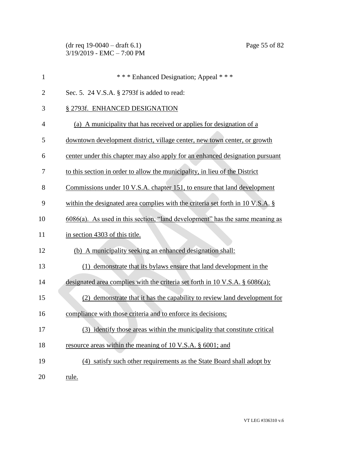| $\mathbf{1}$   | *** Enhanced Designation; Appeal ***                                                |
|----------------|-------------------------------------------------------------------------------------|
| $\overline{2}$ | Sec. 5. 24 V.S.A. § 2793f is added to read:                                         |
| 3              | § 2793f. ENHANCED DESIGNATION                                                       |
| 4              | (a) A municipality that has received or applies for designation of a                |
| 5              | downtown development district, village center, new town center, or growth           |
| 6              | center under this chapter may also apply for an enhanced designation pursuant       |
| 7              | to this section in order to allow the municipality, in lieu of the District         |
| 8              | Commissions under 10 V.S.A. chapter 151, to ensure that land development            |
| 9              | within the designated area complies with the criteria set forth in $10$ V.S.A. $\S$ |
| 10             | $6086(a)$ . As used in this section, "land development" has the same meaning as     |
| 11             | in section 4303 of this title.                                                      |
| 12             | (b) A municipality seeking an enhanced designation shall:                           |
| 13             | (1) demonstrate that its bylaws ensure that land development in the                 |
| 14             | designated area complies with the criteria set forth in 10 V.S.A. $\S$ 6086(a);     |
| 15             | (2) demonstrate that it has the capability to review land development for           |
| 16             | compliance with those criteria and to enforce its decisions;                        |
| 17             | (3) identify those areas within the municipality that constitute critical           |
| 18             | resource areas within the meaning of 10 V.S.A. § 6001; and                          |
| 19             | (4) satisfy such other requirements as the State Board shall adopt by               |
| 20             | rule.                                                                               |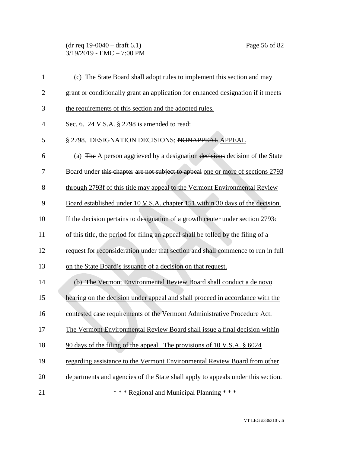(dr req 19-0040 – draft 6.1) Page 56 of 82  $3/19/2019$  - EMC - 7:00 PM

| $\mathbf{1}$   | (c) The State Board shall adopt rules to implement this section and may           |
|----------------|-----------------------------------------------------------------------------------|
| $\overline{2}$ | grant or conditionally grant an application for enhanced designation if it meets  |
| 3              | the requirements of this section and the adopted rules.                           |
| $\overline{4}$ | Sec. 6. 24 V.S.A. § 2798 is amended to read:                                      |
| 5              | § 2798. DESIGNATION DECISIONS; NONAPPEAL APPEAL                                   |
| 6              | (a) The A person aggrieved by a designation decisions decision of the State       |
| 7              | Board under this chapter are not subject to appeal one or more of sections 2793   |
| 8              | through 2793f of this title may appeal to the Vermont Environmental Review        |
| 9              | Board established under 10 V.S.A. chapter 151 within 30 days of the decision.     |
| 10             | If the decision pertains to designation of a growth center under section 2793c    |
| 11             | of this title, the period for filing an appeal shall be tolled by the filing of a |
| 12             | request for reconsideration under that section and shall commence to run in full  |
| 13             | on the State Board's issuance of a decision on that request.                      |
| 14             | (b) The Vermont Environmental Review Board shall conduct a de novo                |
| 15             | hearing on the decision under appeal and shall proceed in accordance with the     |
| 16             | contested case requirements of the Vermont Administrative Procedure Act.          |
| 17             | The Vermont Environmental Review Board shall issue a final decision within        |
| 18             | 90 days of the filing of the appeal. The provisions of 10 V.S.A. § 6024           |
| 19             | regarding assistance to the Vermont Environmental Review Board from other         |
| 20             | departments and agencies of the State shall apply to appeals under this section.  |
| 21             | *** Regional and Municipal Planning ***                                           |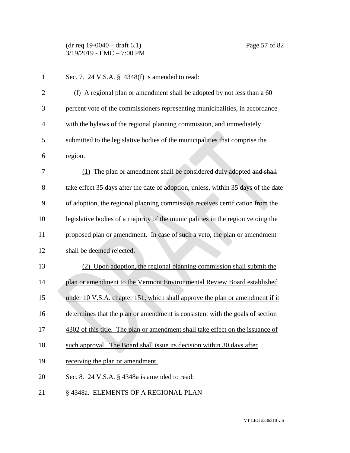| 1              | Sec. 7. 24 V.S.A. § 4348(f) is amended to read:                                    |
|----------------|------------------------------------------------------------------------------------|
| $\overline{2}$ | (f) A regional plan or amendment shall be adopted by not less than a 60            |
| 3              | percent vote of the commissioners representing municipalities, in accordance       |
| $\overline{4}$ | with the bylaws of the regional planning commission, and immediately               |
| 5              | submitted to the legislative bodies of the municipalities that comprise the        |
| 6              | region.                                                                            |
| 7              | (1) The plan or amendment shall be considered duly adopted and shall               |
| 8              | take effect 35 days after the date of adoption, unless, within 35 days of the date |
| 9              | of adoption, the regional planning commission receives certification from the      |
| 10             | legislative bodies of a majority of the municipalities in the region vetoing the   |
| 11             | proposed plan or amendment. In case of such a veto, the plan or amendment          |
| 12             | shall be deemed rejected.                                                          |
| 13             | (2) Upon adoption, the regional planning commission shall submit the               |
| 14             | plan or amendment to the Vermont Environmental Review Board established            |
| 15             | under 10 V.S.A. chapter 151, which shall approve the plan or amendment if it       |
| 16             | determines that the plan or amendment is consistent with the goals of section      |
| 17             | 4302 of this title. The plan or amendment shall take effect on the issuance of     |
| 18             | such approval. The Board shall issue its decision within 30 days after             |
| 19             | receiving the plan or amendment.                                                   |
| 20             | Sec. 8. 24 V.S.A. § 4348a is amended to read:                                      |
| 21             | § 4348a. ELEMENTS OF A REGIONAL PLAN                                               |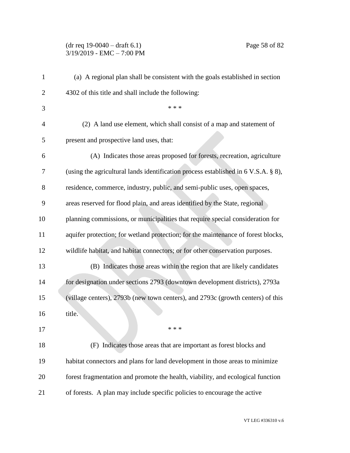#### (dr req 19-0040 – draft 6.1) Page 58 of 82 3/19/2019 - EMC – 7:00 PM

| $\mathbf{1}$   | (a) A regional plan shall be consistent with the goals established in section      |
|----------------|------------------------------------------------------------------------------------|
| $\overline{2}$ | 4302 of this title and shall include the following:                                |
| 3              | * * *                                                                              |
| $\overline{4}$ | (2) A land use element, which shall consist of a map and statement of              |
| 5              | present and prospective land uses, that:                                           |
| 6              | (A) Indicates those areas proposed for forests, recreation, agriculture            |
| 7              | (using the agricultural lands identification process established in 6 V.S.A. § 8), |
| 8              | residence, commerce, industry, public, and semi-public uses, open spaces,          |
| 9              | areas reserved for flood plain, and areas identified by the State, regional        |
| 10             | planning commissions, or municipalities that require special consideration for     |
| 11             | aquifer protection; for wetland protection; for the maintenance of forest blocks,  |
| 12             | wildlife habitat, and habitat connectors; or for other conservation purposes.      |
| 13             | (B) Indicates those areas within the region that are likely candidates             |
| 14             | for designation under sections 2793 (downtown development districts), 2793a        |
| 15             | (village centers), 2793b (new town centers), and 2793c (growth centers) of this    |
| 16             | title.                                                                             |
| 17             | * * *                                                                              |
| 18             | (F) Indicates those areas that are important as forest blocks and                  |
| 19             | habitat connectors and plans for land development in those areas to minimize       |
| 20             | forest fragmentation and promote the health, viability, and ecological function    |
| 21             | of forests. A plan may include specific policies to encourage the active           |
|                |                                                                                    |

VT LEG #336310 v.6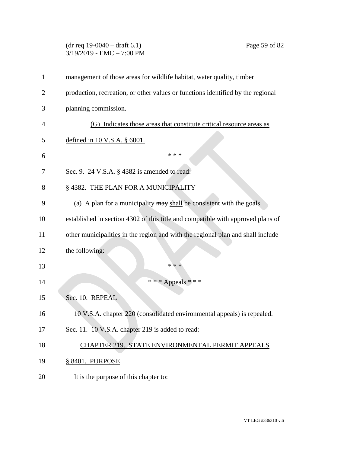# (dr req 19-0040 – draft 6.1) Page 59 of 82 3/19/2019 - EMC – 7:00 PM

| 1  | management of those areas for wildlife habitat, water quality, timber           |
|----|---------------------------------------------------------------------------------|
| 2  | production, recreation, or other values or functions identified by the regional |
| 3  | planning commission.                                                            |
| 4  | (G) Indicates those areas that constitute critical resource areas as            |
| 5  | defined in $10$ V.S.A. $\S$ 6001.                                               |
| 6  | * * *                                                                           |
| 7  | Sec. 9. 24 V.S.A. $\S$ 4382 is amended to read:                                 |
| 8  | § 4382. THE PLAN FOR A MUNICIPALITY                                             |
| 9  | (a) A plan for a municipality may shall be consistent with the goals            |
| 10 | established in section 4302 of this title and compatible with approved plans of |
| 11 | other municipalities in the region and with the regional plan and shall include |
| 12 | the following:                                                                  |
| 13 | * * *                                                                           |
| 14 | *** Appeals ***                                                                 |
| 15 | Sec. 10. REPEAL                                                                 |
| 16 | 10 V.S.A. chapter 220 (consolidated environmental appeals) is repealed.         |
| 17 | Sec. 11. 10 V.S.A. chapter 219 is added to read:                                |
| 18 | CHAPTER 219. STATE ENVIRONMENTAL PERMIT APPEALS                                 |
| 19 | § 8401. PURPOSE                                                                 |
| 20 | It is the purpose of this chapter to:                                           |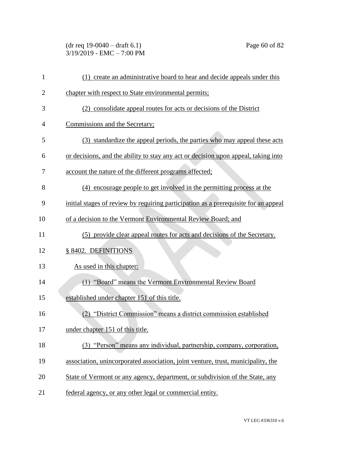|  | $(dr \text{ req } 19-0040 - draft 6.1)$ |
|--|-----------------------------------------|
|  | 3/19/2019 - EMC – 7:00 PM               |

| $\mathbf{1}$   | (1) create an administrative board to hear and decide appeals under this            |
|----------------|-------------------------------------------------------------------------------------|
| $\overline{2}$ | chapter with respect to State environmental permits;                                |
| 3              | (2) consolidate appeal routes for acts or decisions of the District                 |
| 4              | Commissions and the Secretary;                                                      |
| 5              | (3) standardize the appeal periods, the parties who may appeal these acts           |
| 6              | or decisions, and the ability to stay any act or decision upon appeal, taking into  |
| 7              | account the nature of the different programs affected;                              |
| 8              | $(4)$ encourage people to get involved in the permitting process at the             |
| 9              | initial stages of review by requiring participation as a prerequisite for an appeal |
| 10             | of a decision to the Vermont Environmental Review Board; and                        |
| 11             | (5) provide clear appeal routes for acts and decisions of the Secretary.            |
| 12             | § 8402. DEFINITIONS                                                                 |
| 13             | As used in this chapter:                                                            |
| 14             | (1) "Board" means the Vermont Environmental Review Board                            |
| 15             | established under chapter 151 of this title.                                        |
| 16             | (2) "District Commission" means a district commission established                   |
| 17             | under chapter 151 of this title.                                                    |
| 18             | (3) "Person" means any individual, partnership, company, corporation,               |
| 19             | association, unincorporated association, joint venture, trust, municipality, the    |
| 20             | State of Vermont or any agency, department, or subdivision of the State, any        |
| 21             | federal agency, or any other legal or commercial entity.                            |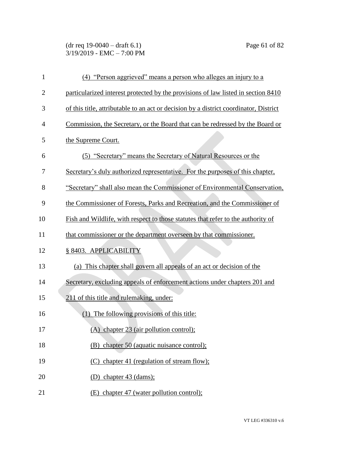# (dr req 19-0040 – draft 6.1) Page 61 of 82 3/19/2019 - EMC – 7:00 PM

| $\mathbf{1}$   | (4) "Person aggrieved" means a person who alleges an injury to a                      |
|----------------|---------------------------------------------------------------------------------------|
| $\overline{2}$ | particularized interest protected by the provisions of law listed in section 8410     |
| 3              | of this title, attributable to an act or decision by a district coordinator, District |
| $\overline{4}$ | Commission, the Secretary, or the Board that can be redressed by the Board or         |
| 5              | the Supreme Court.                                                                    |
| 6              | (5) "Secretary" means the Secretary of Natural Resources or the                       |
| 7              | Secretary's duly authorized representative. For the purposes of this chapter,         |
| 8              | "Secretary" shall also mean the Commissioner of Environmental Conservation,           |
| 9              | the Commissioner of Forests, Parks and Recreation, and the Commissioner of            |
| 10             | Fish and Wildlife, with respect to those statutes that refer to the authority of      |
| 11             | that commissioner or the department overseen by that commissioner.                    |
| 12             | § 8403. APPLICABILITY                                                                 |
| 13             | (a) This chapter shall govern all appeals of an act or decision of the                |
| 14             | Secretary, excluding appeals of enforcement actions under chapters 201 and            |
| 15             | 211 of this title and rulemaking, under:                                              |
| 16             | (1) The following provisions of this title:                                           |
| 17             | (A) chapter 23 (air pollution control);                                               |
| 18             | (B) chapter $50$ (aquatic nuisance control);                                          |
| 19             | (C) chapter 41 (regulation of stream flow);                                           |
| 20             | (D) chapter $43$ (dams);                                                              |
| 21             | (E) chapter 47 (water pollution control);                                             |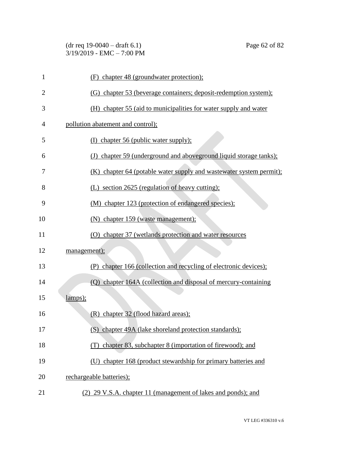| 1              | (F) chapter 48 (groundwater protection);                             |
|----------------|----------------------------------------------------------------------|
| $\overline{2}$ | (G) chapter 53 (beverage containers; deposit-redemption system);     |
| 3              | (H) chapter 55 (aid to municipalities for water supply and water     |
| 4              | pollution abatement and control);                                    |
| 5              | (I) chapter 56 (public water supply);                                |
| 6              | (J) chapter 59 (underground and aboveground liquid storage tanks);   |
| 7              | (K) chapter 64 (potable water supply and wastewater system permit);  |
| 8              | (L) section 2625 (regulation of heavy cutting);                      |
| 9              | (M) chapter 123 (protection of endangered species);                  |
| 10             | (N) chapter 159 (waste management);                                  |
| 11             | (O) chapter 37 (wetlands protection and water resources              |
| 12             | management);                                                         |
| 13             | chapter 166 (collection and recycling of electronic devices);<br>(P) |
| 14             | (Q) chapter 164A (collection and disposal of mercury-containing      |
| 15             | lamps);                                                              |
| 16             | (R) chapter 32 (flood hazard areas);                                 |
| 17             | (S) chapter 49A (lake shoreland protection standards);               |
| 18             | chapter 83, subchapter 8 (importation of firewood); and<br>(T)       |
| 19             | (U) chapter 168 (product stewardship for primary batteries and       |
| 20             | rechargeable batteries);                                             |
| 21             | (2) 29 V.S.A. chapter 11 (management of lakes and ponds); and        |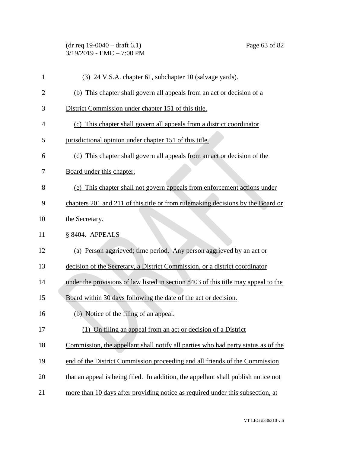(dr req 19-0040 – draft 6.1) Page 63 of 82 3/19/2019 - EMC – 7:00 PM

| $\mathbf{1}$   | (3) 24 V.S.A. chapter 61, subchapter 10 (salvage yards).                           |
|----------------|------------------------------------------------------------------------------------|
| $\overline{2}$ | (b) This chapter shall govern all appeals from an act or decision of a             |
| 3              | District Commission under chapter 151 of this title.                               |
| $\overline{4}$ | (c) This chapter shall govern all appeals from a district coordinator              |
| 5              | jurisdictional opinion under chapter 151 of this title.                            |
| 6              | (d) This chapter shall govern all appeals from an act or decision of the           |
| 7              | Board under this chapter.                                                          |
| 8              | (e) This chapter shall not govern appeals from enforcement actions under           |
| 9              | chapters 201 and 211 of this title or from rulemaking decisions by the Board or    |
| 10             | the Secretary.                                                                     |
| 11             | § 8404. APPEALS                                                                    |
| 12             | (a) Person aggrieved; time period. Any person aggrieved by an act or               |
| 13             | decision of the Secretary, a District Commission, or a district coordinator        |
| 14             | under the provisions of law listed in section 8403 of this title may appeal to the |
| 15             | Board within 30 days following the date of the act or decision.                    |
| 16             | (b) Notice of the filing of an appeal.                                             |
| 17             | (1) On filing an appeal from an act or decision of a District                      |
| 18             | Commission, the appellant shall notify all parties who had party status as of the  |
| 19             | end of the District Commission proceeding and all friends of the Commission        |
| 20             | that an appeal is being filed. In addition, the appellant shall publish notice not |
| 21             | more than 10 days after providing notice as required under this subsection, at     |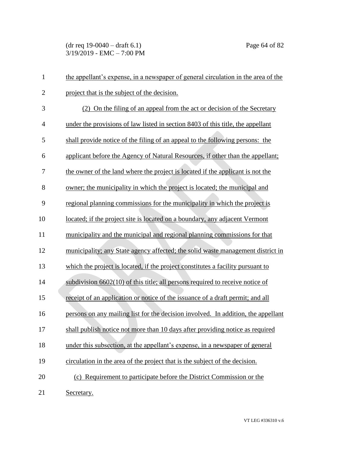| $\mathbf{1}$   | the appellant's expense, in a newspaper of general circulation in the area of the |
|----------------|-----------------------------------------------------------------------------------|
| $\mathbf{2}$   | project that is the subject of the decision.                                      |
| 3              | (2) On the filing of an appeal from the act or decision of the Secretary          |
| $\overline{4}$ | under the provisions of law listed in section 8403 of this title, the appellant   |
| 5              | shall provide notice of the filing of an appeal to the following persons: the     |
| 6              | applicant before the Agency of Natural Resources, if other than the appellant;    |
| 7              | the owner of the land where the project is located if the applicant is not the    |
| 8              | owner; the municipality in which the project is located; the municipal and        |
| 9              | regional planning commissions for the municipality in which the project is        |
| 10             | located; if the project site is located on a boundary, any adjacent Vermont       |
| 11             | municipality and the municipal and regional planning commissions for that         |
| 12             | municipality; any State agency affected; the solid waste management district in   |
| 13             | which the project is located, if the project constitutes a facility pursuant to   |
| 14             | subdivision $6602(10)$ of this title; all persons required to receive notice of   |
| 15             | receipt of an application or notice of the issuance of a draft permit; and all    |
| 16             | persons on any mailing list for the decision involved. In addition, the appellant |
| 17             | shall publish notice not more than 10 days after providing notice as required     |
| 18             | under this subsection, at the appellant's expense, in a newspaper of general      |
| 19             | circulation in the area of the project that is the subject of the decision.       |
| 20             | (c) Requirement to participate before the District Commission or the              |
| 21             | Secretary.                                                                        |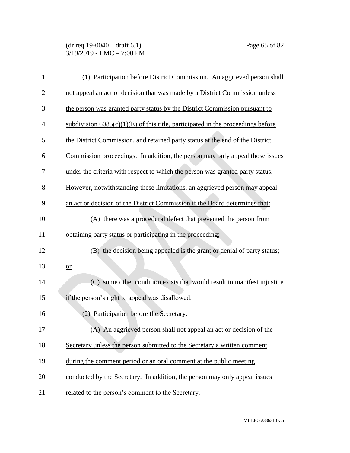## (dr req 19-0040 – draft 6.1) Page 65 of 82 3/19/2019 - EMC – 7:00 PM

| $\mathbf{1}$   | (1) Participation before District Commission. An aggrieved person shall           |
|----------------|-----------------------------------------------------------------------------------|
| $\overline{2}$ | not appeal an act or decision that was made by a District Commission unless       |
| 3              | the person was granted party status by the District Commission pursuant to        |
| $\overline{4}$ | subdivision $6085(c)(1)(E)$ of this title, participated in the proceedings before |
| 5              | the District Commission, and retained party status at the end of the District     |
| 6              | Commission proceedings. In addition, the person may only appeal those issues      |
| 7              | under the criteria with respect to which the person was granted party status.     |
| 8              | However, notwithstanding these limitations, an aggrieved person may appeal        |
| 9              | an act or decision of the District Commission if the Board determines that:       |
| 10             | (A) there was a procedural defect that prevented the person from                  |
| 11             | obtaining party status or participating in the proceeding;                        |
| 12             | (B) the decision being appealed is the grant or denial of party status;           |
| 13             | $or$                                                                              |
| 14             | (C) some other condition exists that would result in manifest injustice           |
| 15             | if the person's right to appeal was disallowed.                                   |
| 16             | Participation before the Secretary.                                               |
| 17             | (A) An aggrieved person shall not appeal an act or decision of the                |
| 18             | Secretary unless the person submitted to the Secretary a written comment          |
| 19             | during the comment period or an oral comment at the public meeting                |
| 20             | conducted by the Secretary. In addition, the person may only appeal issues        |
| 21             | related to the person's comment to the Secretary.                                 |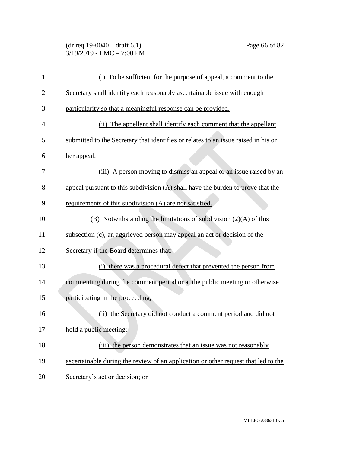## (dr req 19-0040 – draft 6.1) Page 66 of 82 3/19/2019 - EMC – 7:00 PM

| $\mathbf{1}$ | (i) To be sufficient for the purpose of appeal, a comment to the                   |
|--------------|------------------------------------------------------------------------------------|
| 2            | Secretary shall identify each reasonably ascertainable issue with enough           |
| 3            | particularity so that a meaningful response can be provided.                       |
| 4            | (ii) The appellant shall identify each comment that the appellant                  |
| 5            | submitted to the Secretary that identifies or relates to an issue raised in his or |
| 6            | <u>her appeal.</u>                                                                 |
| 7            | (iii) A person moving to dismiss an appeal or an issue raised by an                |
| 8            | appeal pursuant to this subdivision $(A)$ shall have the burden to prove that the  |
| 9            | requirements of this subdivision (A) are not satisfied.                            |
| 10           | (B) Notwithstanding the limitations of subdivision $(2)(A)$ of this                |
| 11           | subsection (c), an aggrieved person may appeal an act or decision of the           |
| 12           | Secretary if the Board determines that:                                            |
| 13           | (i) there was a procedural defect that prevented the person from                   |
| 14           | commenting during the comment period or at the public meeting or otherwise         |
| 15           | participating in the proceeding;                                                   |
| 16           | the Secretary did not conduct a comment period and did not<br>(ii)                 |
| 17           | hold a public meeting;                                                             |
| 18           | (iii) the person demonstrates that an issue was not reasonably                     |
| 19           | ascertainable during the review of an application or other request that led to the |
| 20           | Secretary's act or decision; or                                                    |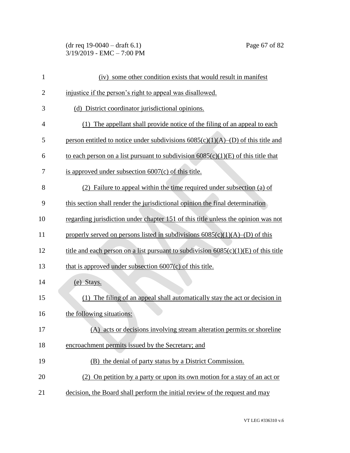(dr req 19-0040 – draft 6.1) Page 67 of 82 3/19/2019 - EMC – 7:00 PM

| $\mathbf{1}$   | (iv) some other condition exists that would result in manifest                        |
|----------------|---------------------------------------------------------------------------------------|
| $\overline{2}$ | injustice if the person's right to appeal was disallowed.                             |
| 3              | (d) District coordinator jurisdictional opinions.                                     |
| $\overline{4}$ | (1) The appellant shall provide notice of the filing of an appeal to each             |
| 5              | person entitled to notice under subdivisions $6085(c)(1)(A)$ –(D) of this title and   |
| 6              | to each person on a list pursuant to subdivision $6085(c)(1)(E)$ of this title that   |
| 7              | is approved under subsection $6007(c)$ of this title.                                 |
| 8              | (2) Failure to appeal within the time required under subsection (a) of                |
| 9              | this section shall render the jurisdictional opinion the final determination          |
| 10             | regarding jurisdiction under chapter 151 of this title unless the opinion was not     |
| 11             | properly served on persons listed in subdivisions $6085(c)(1)(A)$ –(D) of this        |
| 12             | title and each person on a list pursuant to subdivision $6085(c)(1)(E)$ of this title |
| 13             | that is approved under subsection $6007(c)$ of this title.                            |
| 14             | (e) Stays.                                                                            |
| 15             | (1) The filing of an appeal shall automatically stay the act or decision in           |
| 16             | the following situations:                                                             |
| 17             | (A) acts or decisions involving stream alteration permits or shoreline                |
| 18             | encroachment permits issued by the Secretary; and                                     |
| 19             | (B) the denial of party status by a District Commission.                              |
| 20             | (2) On petition by a party or upon its own motion for a stay of an act or             |
| 21             | decision, the Board shall perform the initial review of the request and may           |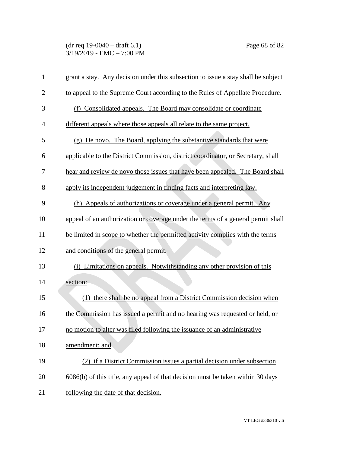(dr req 19-0040 – draft 6.1) Page 68 of 82 3/19/2019 - EMC – 7:00 PM

| $\mathbf{1}$   | grant a stay. Any decision under this subsection to issue a stay shall be subject |
|----------------|-----------------------------------------------------------------------------------|
| $\overline{2}$ | to appeal to the Supreme Court according to the Rules of Appellate Procedure.     |
| 3              | (f) Consolidated appeals. The Board may consolidate or coordinate                 |
| $\overline{4}$ | different appeals where those appeals all relate to the same project.             |
| 5              | (g) De novo. The Board, applying the substantive standards that were              |
| 6              | applicable to the District Commission, district coordinator, or Secretary, shall  |
| 7              | hear and review de novo those issues that have been appealed. The Board shall     |
| 8              | apply its independent judgement in finding facts and interpreting law.            |
| 9              | (h) Appeals of authorizations or coverage under a general permit. Any             |
| 10             | appeal of an authorization or coverage under the terms of a general permit shall  |
| 11             | be limited in scope to whether the permitted activity complies with the terms     |
| 12             | and conditions of the general permit.                                             |
| 13             | (i) Limitations on appeals. Notwithstanding any other provision of this           |
| 14             | section:                                                                          |
| 15             | (1) there shall be no appeal from a District Commission decision when             |
| 16             | the Commission has issued a permit and no hearing was requested or held, or       |
| 17             | no motion to alter was filed following the issuance of an administrative          |
| 18             | amendment; and                                                                    |
| 19             | (2) if a District Commission issues a partial decision under subsection           |
| 20             | 6086(b) of this title, any appeal of that decision must be taken within 30 days   |
| 21             | following the date of that decision.                                              |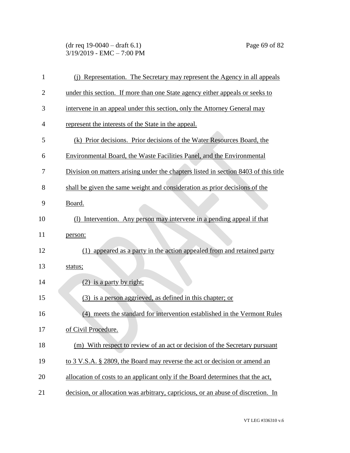# (dr req 19-0040 – draft 6.1) Page 69 of 82  $3/19/2019$  - EMC - 7:00 PM

| 1              | (i) Representation. The Secretary may represent the Agency in all appeals           |
|----------------|-------------------------------------------------------------------------------------|
| $\overline{2}$ | under this section. If more than one State agency either appeals or seeks to        |
| 3              | intervene in an appeal under this section, only the Attorney General may            |
| 4              | represent the interests of the State in the appeal.                                 |
| 5              | (k) Prior decisions. Prior decisions of the Water Resources Board, the              |
| 6              | Environmental Board, the Waste Facilities Panel, and the Environmental              |
| 7              | Division on matters arising under the chapters listed in section 8403 of this title |
| 8              | shall be given the same weight and consideration as prior decisions of the          |
| 9              | Board.                                                                              |
| 10             | (1) Intervention. Any person may intervene in a pending appeal if that              |
| 11             | person:                                                                             |
| 12             | (1) appeared as a party in the action appealed from and retained party              |
| 13             | status;                                                                             |
| 14             | $(2)$ is a party by right;                                                          |
| 15             | (3) is a person aggrieved, as defined in this chapter; or                           |
| 16             | (4) meets the standard for intervention established in the Vermont Rules            |
| 17             | of Civil Procedure.                                                                 |
| 18             | With respect to review of an act or decision of the Secretary pursuant<br>(m)       |
| 19             | to 3 V.S.A. § 2809, the Board may reverse the act or decision or amend an           |
| 20             | allocation of costs to an applicant only if the Board determines that the act,      |
| 21             | decision, or allocation was arbitrary, capricious, or an abuse of discretion. In    |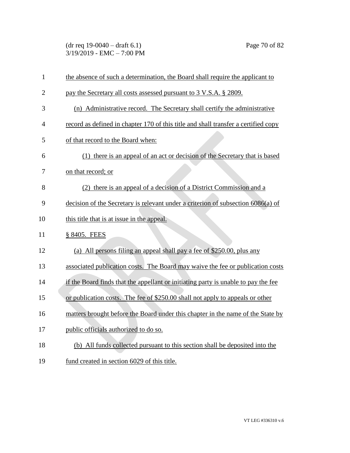(dr req 19-0040 – draft 6.1) Page 70 of 82 3/19/2019 - EMC – 7:00 PM

| $\mathbf{1}$   | the absence of such a determination, the Board shall require the applicant to      |
|----------------|------------------------------------------------------------------------------------|
| $\overline{2}$ | pay the Secretary all costs assessed pursuant to 3 V.S.A. § 2809.                  |
| 3              | (n) Administrative record. The Secretary shall certify the administrative          |
| $\overline{4}$ | record as defined in chapter 170 of this title and shall transfer a certified copy |
| 5              | of that record to the Board when:                                                  |
| 6              | (1) there is an appeal of an act or decision of the Secretary that is based        |
| 7              | on that record; or                                                                 |
| 8              | (2) there is an appeal of a decision of a District Commission and a                |
| 9              | decision of the Secretary is relevant under a criterion of subsection 6086(a) of   |
| 10             | this title that is at issue in the appeal.                                         |
| 11             | § 8405. FEES                                                                       |
| 12             | (a) All persons filing an appeal shall pay a fee of \$250.00, plus any             |
| 13             | associated publication costs. The Board may waive the fee or publication costs     |
| 14             | if the Board finds that the appellant or initiating party is unable to pay the fee |
| 15             | or publication costs. The fee of \$250.00 shall not apply to appeals or other      |
| 16             | matters brought before the Board under this chapter in the name of the State by    |
| 17             | public officials authorized to do so.                                              |
| 18             | (b) All funds collected pursuant to this section shall be deposited into the       |
| 19             | fund created in section 6029 of this title.                                        |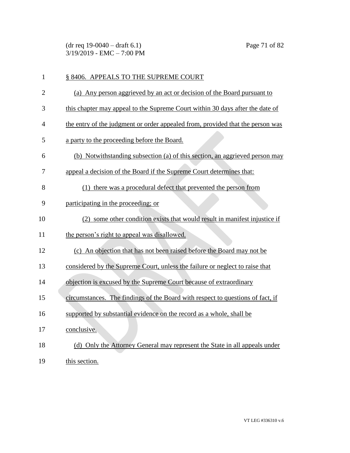| $\mathbf{1}$   | § 8406. APPEALS TO THE SUPREME COURT                                           |
|----------------|--------------------------------------------------------------------------------|
| $\overline{2}$ | (a) Any person aggrieved by an act or decision of the Board pursuant to        |
| 3              | this chapter may appeal to the Supreme Court within 30 days after the date of  |
| $\overline{4}$ | the entry of the judgment or order appealed from, provided that the person was |
| 5              | a party to the proceeding before the Board.                                    |
| 6              | (b) Notwithstanding subsection (a) of this section, an aggrieved person may    |
| 7              | appeal a decision of the Board if the Supreme Court determines that:           |
| 8              | (1) there was a procedural defect that prevented the person from               |
| 9              | participating in the proceeding; or                                            |
| 10             | (2) some other condition exists that would result in manifest injustice if     |
| 11             | the person's right to appeal was disallowed.                                   |
| 12             | (c) An objection that has not been raised before the Board may not be          |
| 13             | considered by the Supreme Court, unless the failure or neglect to raise that   |
| 14             | objection is excused by the Supreme Court because of extraordinary             |
| 15             | circumstances. The findings of the Board with respect to questions of fact, if |
| 16             | supported by substantial evidence on the record as a whole, shall be           |
| 17             | conclusive.                                                                    |
| 18             | (d) Only the Attorney General may represent the State in all appeals under     |
| 19             | this section.                                                                  |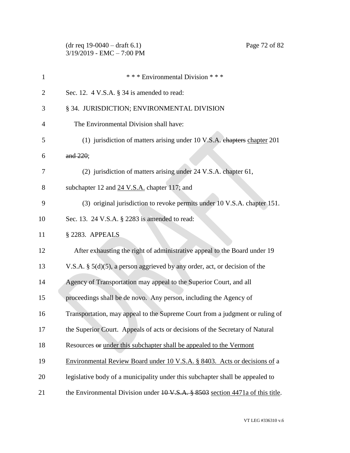|              | $(dr \text{ req } 19-0040 - draft 6.1)$<br>Page 72 of 82<br>3/19/2019 - EMC - 7:00 PM    |
|--------------|------------------------------------------------------------------------------------------|
| $\mathbf{1}$ | *** Environmental Division ***                                                           |
| 2            | Sec. 12. $4$ V.S.A. $\S$ 34 is amended to read:                                          |
| 3            | § 34. JURISDICTION; ENVIRONMENTAL DIVISION                                               |
| 4            | The Environmental Division shall have:                                                   |
| 5            | (1) jurisdiction of matters arising under 10 V.S.A. chapters chapter 201                 |
| 6            | and 220;                                                                                 |
| 7            | (2) jurisdiction of matters arising under 24 V.S.A. chapter 61,                          |
| 8            | subchapter 12 and 24 V.S.A. chapter 117; and                                             |
| 9            | (3) original jurisdiction to revoke permits under 10 V.S.A. chapter 151.                 |
| 10           | Sec. 13. 24 V.S.A. § 2283 is amended to read:                                            |
| 11           | § 2283. APPEALS                                                                          |
| 12           | After exhausting the right of administrative appeal to the Board under 19                |
| 13           | V.S.A. $\S$ 5(d)(5), a person aggrieved by any order, act, or decision of the            |
| 14           | Agency of Transportation may appeal to the Superior Court, and all                       |
| 15           | proceedings shall be de novo. Any person, including the Agency of                        |
| 16           | Transportation, may appeal to the Supreme Court from a judgment or ruling of             |
| 17           | the Superior Court. Appeals of acts or decisions of the Secretary of Natural             |
| 18           | Resources or under this subchapter shall be appealed to the Vermont                      |
| 19           | Environmental Review Board under 10 V.S.A. § 8403. Acts or decisions of a                |
| 20           | legislative body of a municipality under this subchapter shall be appealed to            |
| 21           | the Environmental Division under $10 \text{ V.S.A.}$ \$8503 section 4471a of this title. |
|              |                                                                                          |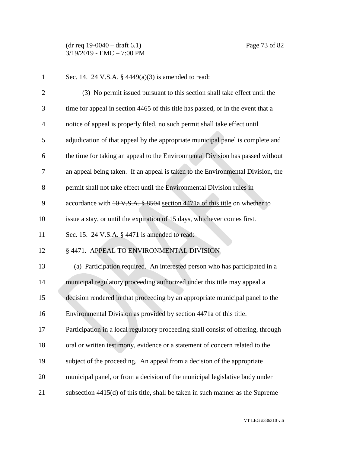| $\mathbf{1}$   | Sec. 14. 24 V.S.A. $\S$ 4449(a)(3) is amended to read:                            |
|----------------|-----------------------------------------------------------------------------------|
| $\overline{2}$ | (3) No permit issued pursuant to this section shall take effect until the         |
| 3              | time for appeal in section 4465 of this title has passed, or in the event that a  |
| $\overline{4}$ | notice of appeal is properly filed, no such permit shall take effect until        |
| 5              | adjudication of that appeal by the appropriate municipal panel is complete and    |
| 6              | the time for taking an appeal to the Environmental Division has passed without    |
| 7              | an appeal being taken. If an appeal is taken to the Environmental Division, the   |
| 8              | permit shall not take effect until the Environmental Division rules in            |
| 9              | accordance with 10 V.S.A. § 8504 section 4471a of this title on whether to        |
| 10             | issue a stay, or until the expiration of 15 days, whichever comes first.          |
| 11             | Sec. 15. 24 V.S.A. § 4471 is amended to read:                                     |
| 12             | § 4471. APPEAL TO ENVIRONMENTAL DIVISION                                          |
| 13             | (a) Participation required. An interested person who has participated in a        |
| 14             | municipal regulatory proceeding authorized under this title may appeal a          |
| 15             | decision rendered in that proceeding by an appropriate municipal panel to the     |
| 16             | Environmental Division as provided by section 4471a of this title.                |
| 17             | Participation in a local regulatory proceeding shall consist of offering, through |
| 18             | oral or written testimony, evidence or a statement of concern related to the      |
| 19             | subject of the proceeding. An appeal from a decision of the appropriate           |
| 20             | municipal panel, or from a decision of the municipal legislative body under       |
| 21             | subsection 4415(d) of this title, shall be taken in such manner as the Supreme    |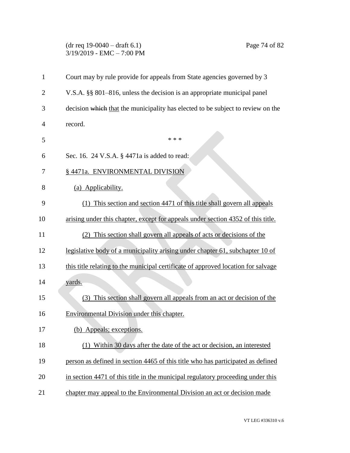### (dr req 19-0040 – draft 6.1) Page 74 of 82 3/19/2019 - EMC – 7:00 PM

| $\mathbf{1}$ | Court may by rule provide for appeals from State agencies governed by 3           |
|--------------|-----------------------------------------------------------------------------------|
| 2            | V.S.A. §§ 801-816, unless the decision is an appropriate municipal panel          |
| 3            | decision which that the municipality has elected to be subject to review on the   |
| 4            | record.                                                                           |
| 5            | * * *                                                                             |
| 6            | Sec. 16. 24 V.S.A. § 4471a is added to read:                                      |
| 7            | § 4471a. ENVIRONMENTAL DIVISION                                                   |
| 8            | (a) Applicability.                                                                |
| 9            | (1) This section and section 4471 of this title shall govern all appeals          |
| 10           | arising under this chapter, except for appeals under section 4352 of this title.  |
| 11           | (2) This section shall govern all appeals of acts or decisions of the             |
| 12           | legislative body of a municipality arising under chapter 61, subchapter 10 of     |
| 13           | this title relating to the municipal certificate of approved location for salvage |
| 14           | yards.                                                                            |
| 15           | This section shall govern all appeals from an act or decision of the<br>(3)       |
| 16           | Environmental Division under this chapter.                                        |
| 17           | (b) Appeals; exceptions.                                                          |
| 18           | (1) Within 30 days after the date of the act or decision, an interested           |
| 19           | person as defined in section 4465 of this title who has participated as defined   |
| 20           | in section 4471 of this title in the municipal regulatory proceeding under this   |
| 21           | chapter may appeal to the Environmental Division an act or decision made          |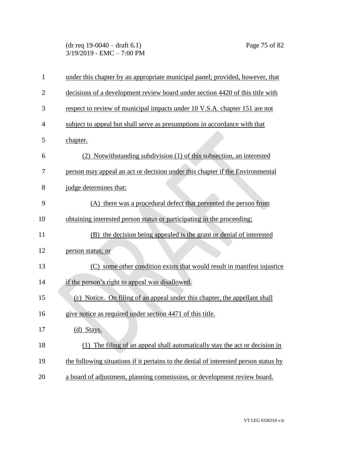# (dr req 19-0040 – draft 6.1) Page 75 of 82  $3/19/2019$  - EMC - 7:00 PM

| $\mathbf{1}$   | under this chapter by an appropriate municipal panel; provided, however, that        |
|----------------|--------------------------------------------------------------------------------------|
| $\overline{2}$ | decisions of a development review board under section 4420 of this title with        |
| 3              | respect to review of municipal impacts under 10 V.S.A. chapter 151 are not           |
| $\overline{4}$ | subject to appeal but shall serve as presumptions in accordance with that            |
| 5              | chapter.                                                                             |
| 6              | (2) Notwithstanding subdivision (1) of this subsection, an interested                |
| 7              | person may appeal an act or decision under this chapter if the Environmental         |
| 8              | judge determines that:                                                               |
| 9              | (A) there was a procedural defect that prevented the person from                     |
| 10             | obtaining interested person status or participating in the proceeding:               |
| 11             | (B) the decision being appealed is the grant or denial of interested                 |
| 12             | person status; or                                                                    |
| 13             | some other condition exists that would result in manifest injustice<br>(C)           |
| 14             | if the person's right to appeal was disallowed.                                      |
| 15             | (c) Notice. On filing of an appeal under this chapter, the appellant shall           |
| 16             | give notice as required under section 4471 of this title.                            |
| 17             | $(d)$ Stays.                                                                         |
| 18             | The filing of an appeal shall automatically stay the act or decision in<br>(1)       |
| 19             | the following situations if it pertains to the denial of interested person status by |
| 20             | a board of adjustment, planning commission, or development review board.             |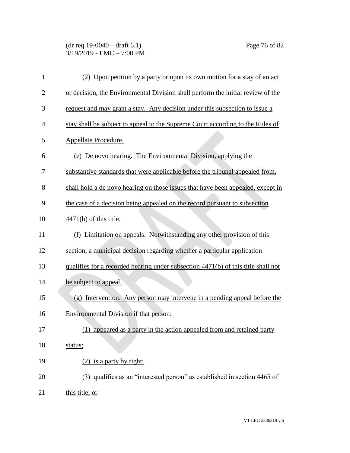## (dr req 19-0040 – draft 6.1) Page 76 of 82 3/19/2019 - EMC – 7:00 PM

| $\mathbf{1}$   | (2) Upon petition by a party or upon its own motion for a stay of an act          |
|----------------|-----------------------------------------------------------------------------------|
| $\overline{2}$ | or decision, the Environmental Division shall perform the initial review of the   |
| 3              | request and may grant a stay. Any decision under this subsection to issue a       |
| 4              | stay shall be subject to appeal to the Supreme Court according to the Rules of    |
| 5              | Appellate Procedure.                                                              |
| 6              | (e) De novo hearing. The Environmental Division, applying the                     |
| 7              | substantive standards that were applicable before the tribunal appealed from,     |
| 8              | shall hold a de novo hearing on those issues that have been appealed, except in   |
| 9              | the case of a decision being appealed on the record pursuant to subsection        |
| 10             | $4471(b)$ of this title.                                                          |
| 11             | (f) Limitation on appeals. Notwithstanding any other provision of this            |
| 12             | section, a municipal decision regarding whether a particular application          |
| 13             | qualifies for a recorded hearing under subsection 4471(b) of this title shall not |
| 14             | be subject to appeal.                                                             |
| 15             | (g) Intervention. Any person may intervene in a pending appeal before the         |
| 16             | <b>Environmental Division if that person:</b>                                     |
| 17             | (1)<br>appeared as a party in the action appealed from and retained party         |
| 18             | status;                                                                           |
| 19             | $(2)$ is a party by right;                                                        |
| 20             | (3) qualifies as an "interested person" as established in section 4465 of         |
| 21             | this title; or                                                                    |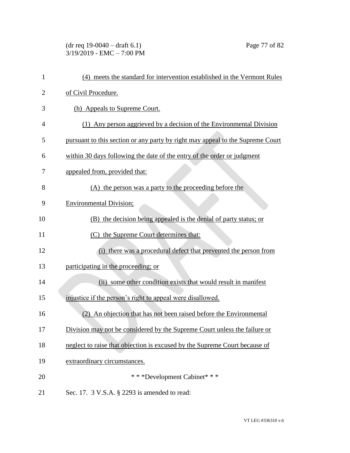(dr req 19-0040 – draft 6.1) Page 77 of 82 3/19/2019 - EMC – 7:00 PM

| $\mathbf{1}$ | (4) meets the standard for intervention established in the Vermont Rules       |
|--------------|--------------------------------------------------------------------------------|
| 2            | of Civil Procedure.                                                            |
| 3            | (h) Appeals to Supreme Court.                                                  |
| 4            | (1) Any person aggrieved by a decision of the Environmental Division           |
| 5            | pursuant to this section or any party by right may appeal to the Supreme Court |
| 6            | within 30 days following the date of the entry of the order or judgment        |
| 7            | appealed from, provided that:                                                  |
| 8            | (A) the person was a party to the proceeding before the                        |
| 9            | <b>Environmental Division;</b>                                                 |
| 10           | (B) the decision being appealed is the denial of party status; or              |
| 11           | (C) the Supreme Court determines that:                                         |
| 12           | (i) there was a procedural defect that prevented the person from               |
| 13           | participating in the proceeding; or                                            |
| 14           | (ii) some other condition exists that would result in manifest                 |
| 15           | injustice if the person's right to appeal were disallowed.                     |
| 16           | (2) An objection that has not been raised before the Environmental             |
| 17           | Division may not be considered by the Supreme Court unless the failure or      |
| 18           | neglect to raise that objection is excused by the Supreme Court because of     |
| 19           | extraordinary circumstances.                                                   |
| 20           | * * * Development Cabinet * * *                                                |
| 21           | Sec. 17. 3 V.S.A. § 2293 is amended to read:                                   |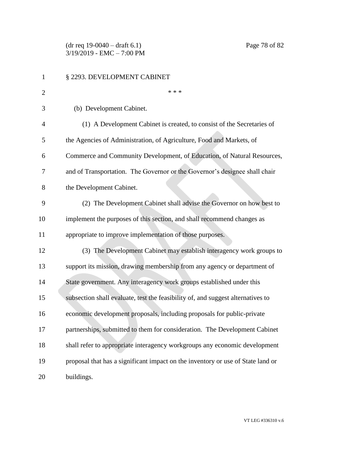| $\mathbf{1}$   | § 2293. DEVELOPMENT CABINET                                                     |
|----------------|---------------------------------------------------------------------------------|
| $\overline{2}$ | * * *                                                                           |
| 3              | (b) Development Cabinet.                                                        |
| 4              | (1) A Development Cabinet is created, to consist of the Secretaries of          |
| 5              | the Agencies of Administration, of Agriculture, Food and Markets, of            |
| 6              | Commerce and Community Development, of Education, of Natural Resources,         |
| 7              | and of Transportation. The Governor or the Governor's designee shall chair      |
| 8              | the Development Cabinet.                                                        |
| 9              | (2) The Development Cabinet shall advise the Governor on how best to            |
| 10             | implement the purposes of this section, and shall recommend changes as          |
| 11             | appropriate to improve implementation of those purposes.                        |
| 12             | (3) The Development Cabinet may establish interagency work groups to            |
| 13             | support its mission, drawing membership from any agency or department of        |
| 14             | State government. Any interagency work groups established under this            |
| 15             | subsection shall evaluate, test the feasibility of, and suggest alternatives to |
| 16             | economic development proposals, including proposals for public-private          |
| 17             | partnerships, submitted to them for consideration. The Development Cabinet      |
| 18             | shall refer to appropriate interagency workgroups any economic development      |
| 19             | proposal that has a significant impact on the inventory or use of State land or |
| 20             | buildings.                                                                      |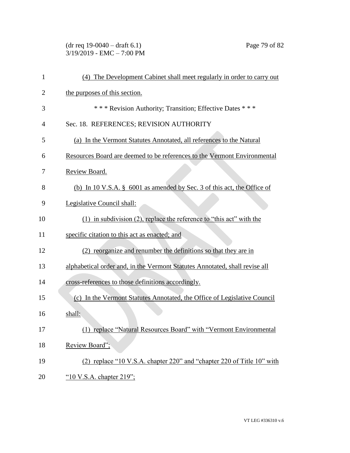#### (dr req 19-0040 – draft 6.1) Page 79 of 82 3/19/2019 - EMC – 7:00 PM

| 1  | (4) The Development Cabinet shall meet regularly in order to carry out      |
|----|-----------------------------------------------------------------------------|
| 2  | the purposes of this section.                                               |
| 3  | *** Revision Authority; Transition; Effective Dates ***                     |
| 4  | Sec. 18. REFERENCES; REVISION AUTHORITY                                     |
| 5  | (a) In the Vermont Statutes Annotated, all references to the Natural        |
| 6  | Resources Board are deemed to be references to the Vermont Environmental    |
| 7  | Review Board.                                                               |
| 8  | (b) In 10 V.S.A. § 6001 as amended by Sec. 3 of this act, the Office of     |
| 9  | Legislative Council shall:                                                  |
| 10 | $(1)$ in subdivision $(2)$ , replace the reference to "this act" with the   |
| 11 | specific citation to this act as enacted; and                               |
| 12 | (2) reorganize and renumber the definitions so that they are in             |
| 13 | alphabetical order and, in the Vermont Statutes Annotated, shall revise all |
| 14 | cross-references to those definitions accordingly.                          |
| 15 | (c) In the Vermont Statutes Annotated, the Office of Legislative Council    |
| 16 | shall:                                                                      |
| 17 | (1) replace "Natural Resources Board" with "Vermont Environmental           |
| 18 | Review Board";                                                              |
| 19 | (2) replace "10 V.S.A. chapter 220" and "chapter 220 of Title 10" with      |
| 20 | "10 V.S.A. chapter 219";                                                    |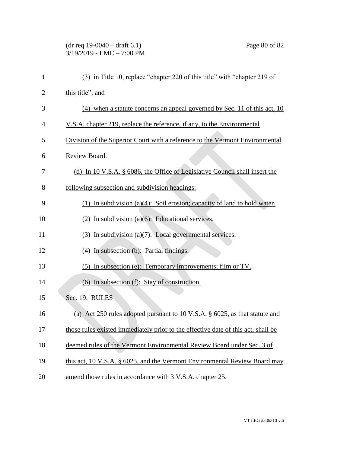## (dr req 19-0040 – draft 6.1) Page 80 of 82 3/19/2019 - EMC – 7:00 PM

| $\mathbf{1}$   | (3) in Title 10, replace "chapter 220 of this title" with "chapter 219 of         |
|----------------|-----------------------------------------------------------------------------------|
| $\overline{2}$ | this title"; and                                                                  |
| 3              | (4) when a statute concerns an appeal governed by Sec. 11 of this act, 10         |
| 4              | V.S.A. chapter 219, replace the reference, if any, to the Environmental           |
| 5              | Division of the Superior Court with a reference to the Vermont Environmental      |
| 6              | Review Board.                                                                     |
| 7              | (d) In 10 V.S.A. § 6086, the Office of Legislative Council shall insert the       |
| 8              | following subsection and subdivision headings:                                    |
| 9              | (1) In subdivision (a)(4): Soil erosion; capacity of land to hold water.          |
| 10             | $(2)$ In subdivision (a)(6): Educational services.                                |
| 11             | (3) In subdivision (a)(7): Local governmental services.                           |
| 12             | (4) In subsection (b): Partial findings.                                          |
| 13             | (5) In subsection (e): Temporary improvements; film or TV.                        |
| 14             | $(6)$ In subsection $(f)$ : Stay of construction.                                 |
| 15             | Sec. 19. RULES                                                                    |
| 16             | (a) Act 250 rules adopted pursuant to 10 V.S.A. § 6025, as that statute and       |
| 17             | those rules existed immediately prior to the effective date of this act, shall be |
| 18             | deemed rules of the Vermont Environmental Review Board under Sec. 3 of            |
| 19             | this act, 10 V.S.A. $\S$ 6025, and the Vermont Environmental Review Board may     |
| 20             | amend those rules in accordance with 3 V.S.A. chapter 25.                         |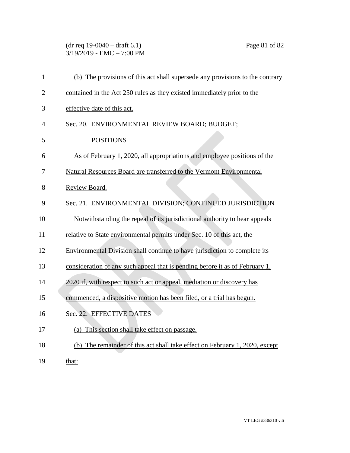(dr req 19-0040 – draft 6.1) Page 81 of 82 3/19/2019 - EMC – 7:00 PM

| $\mathbf{1}$ | (b) The provisions of this act shall supersede any provisions to the contrary |
|--------------|-------------------------------------------------------------------------------|
| $\mathbf{2}$ | contained in the Act 250 rules as they existed immediately prior to the       |
| 3            | effective date of this act.                                                   |
| 4            | Sec. 20. ENVIRONMENTAL REVIEW BOARD; BUDGET;                                  |
| 5            | <b>POSITIONS</b>                                                              |
| 6            | As of February 1, 2020, all appropriations and employee positions of the      |
| 7            | Natural Resources Board are transferred to the Vermont Environmental          |
| 8            | Review Board.                                                                 |
| 9            | Sec. 21. ENVIRONMENTAL DIVISION; CONTINUED JURISDICTION                       |
| 10           | Notwithstanding the repeal of its jurisdictional authority to hear appeals    |
| 11           | relative to State environmental permits under Sec. 10 of this act, the        |
| 12           | Environmental Division shall continue to have jurisdiction to complete its    |
| 13           | consideration of any such appeal that is pending before it as of February 1,  |
| 14           | 2020 if, with respect to such act or appeal, mediation or discovery has       |
| 15           | commenced, a dispositive motion has been filed, or a trial has begun.         |
| 16           | Sec. 22. EFFECTIVE DATES                                                      |
| 17           | (a) This section shall take effect on passage.                                |
| 18           | (b) The remainder of this act shall take effect on February 1, 2020, except   |
| 19           | that:                                                                         |